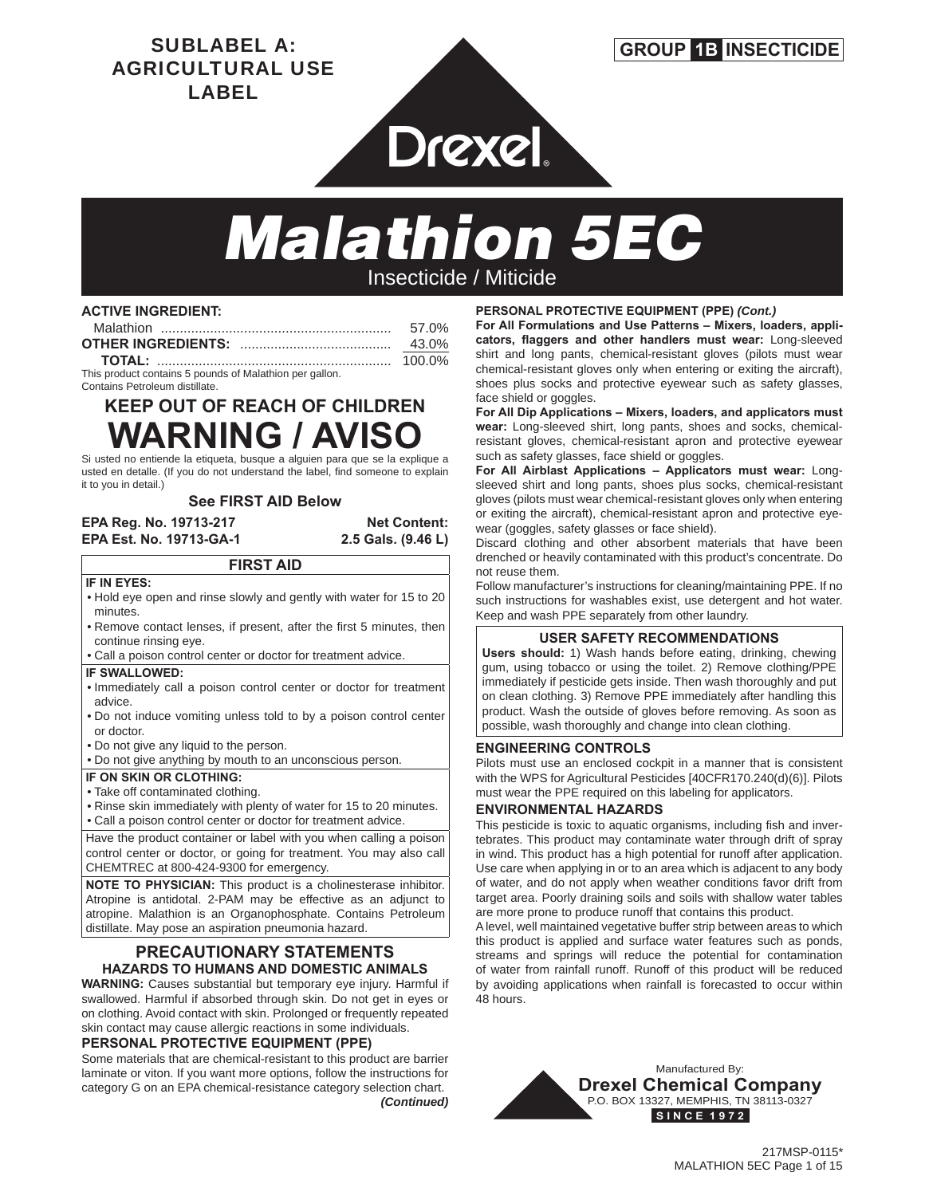# AGRICULTURAL USE LABEL

# *Malathion 5EC* Insecticide / Miticide

# **ACTIVE INGREDIENT:**

| 57.0%  |
|--------|
| 43.0%  |
| 100.0% |

This product contains 5 pounds of Malathion per gallon.

Contains Petroleum distillate.

# **KEEP OUT OF REACH OF CHILDREN WARNING / AVISO**

Si usted no entiende la etiqueta, busque a alguien para que se la explique a usted en detalle. (If you do not understand the label, find someone to explain it to you in detail.)

# **See FIRST AID Below**

# **EPA Reg. No. 19713-217** Net Content: **EPA Est. No. 19713-GA-1 2.5 Gals. (9.46 L)**

# **FIRST AID**

**IF IN EYES:** • Hold eye open and rinse slowly and gently with water for 15 to 20 minutes.

- Remove contact lenses, if present, after the first 5 minutes, then continue rinsing eye.
- Call a poison control center or doctor for treatment advice.

# **IF SWALLOWED:**

- Immediately call a poison control center or doctor for treatment advice.
- Do not induce vomiting unless told to by a poison control center or doctor.
- Do not give any liquid to the person.
- Do not give anything by mouth to an unconscious person.

# **IF ON SKIN OR CLOTHING:**

- Take off contaminated clothing.
- Rinse skin immediately with plenty of water for 15 to 20 minutes. • Call a poison control center or doctor for treatment advice.

Have the product container or label with you when calling a poison control center or doctor, or going for treatment. You may also call CHEMTREC at 800-424-9300 for emergency.

**NOTE TO PHYSICIAN:** This product is a cholinesterase inhibitor. Atropine is antidotal. 2-PAM may be effective as an adjunct to atropine. Malathion is an Organophosphate. Contains Petroleum distillate. May pose an aspiration pneumonia hazard.

# **PRECAUTIONARY STATEMENTS HAZARDS TO HUMANS AND DOMESTIC ANIMALS**

**WARNING:** Causes substantial but temporary eye injury. Harmful if swallowed. Harmful if absorbed through skin. Do not get in eyes or on clothing. Avoid contact with skin. Prolonged or frequently repeated skin contact may cause allergic reactions in some individuals.

# **PERSONAL PROTECTIVE EQUIPMENT (PPE)**

Some materials that are chemical-resistant to this product are barrier laminate or viton. If you want more options, follow the instructions for category G on an EPA chemical-resistance category selection chart.

 *(Continued)*

# **PERSONAL PROTECTIVE EQUIPMENT (PPE)** *(Cont.)*

**For All Formulations and Use Patterns – Mixers, loaders, appli**cators, flaggers and other handlers must wear: Long-sleeved shirt and long pants, chemical-resistant gloves (pilots must wear chemical-resistant gloves only when entering or exiting the aircraft), shoes plus socks and protective eyewear such as safety glasses, face shield or goggles.

**For All Dip Applications – Mixers, loaders, and applicators must wear:** Long-sleeved shirt, long pants, shoes and socks, chemicalresistant gloves, chemical-resistant apron and protective eyewear such as safety glasses, face shield or goggles.

**For All Airblast Applications – Applicators must wear:** Longsleeved shirt and long pants, shoes plus socks, chemical-resistant gloves (pilots must wear chemical-resistant gloves only when entering or exiting the aircraft), chemical-resistant apron and protective eyewear (goggles, safety glasses or face shield).

Discard clothing and other absorbent materials that have been drenched or heavily contaminated with this product's concentrate. Do not reuse them.

Follow manufacturer's instructions for cleaning/maintaining PPE. If no such instructions for washables exist, use detergent and hot water. Keep and wash PPE separately from other laundry.

# **USER SAFETY RECOMMENDATIONS**

**Users should:** 1) Wash hands before eating, drinking, chewing gum, using tobacco or using the toilet. 2) Remove clothing/PPE immediately if pesticide gets inside. Then wash thoroughly and put on clean clothing. 3) Remove PPE immediately after handling this product. Wash the outside of gloves before removing. As soon as possible, wash thoroughly and change into clean clothing.

# **ENGINEERING CONTROLS**

Pilots must use an enclosed cockpit in a manner that is consistent with the WPS for Agricultural Pesticides [40CFR170.240(d)(6)]. Pilots must wear the PPE required on this labeling for applicators.

# **ENVIRONMENTAL HAZARDS**

This pesticide is toxic to aquatic organisms, including fish and invertebrates. This product may contaminate water through drift of spray in wind. This product has a high potential for runoff after application. Use care when applying in or to an area which is adjacent to any body of water, and do not apply when weather conditions favor drift from target area. Poorly draining soils and soils with shallow water tables are more prone to produce runoff that contains this product.

A level, well maintained vegetative buffer strip between areas to which this product is applied and surface water features such as ponds, streams and springs will reduce the potential for contamination of water from rainfall runoff. Runoff of this product will be reduced by avoiding applications when rainfall is forecasted to occur within 48 hours.

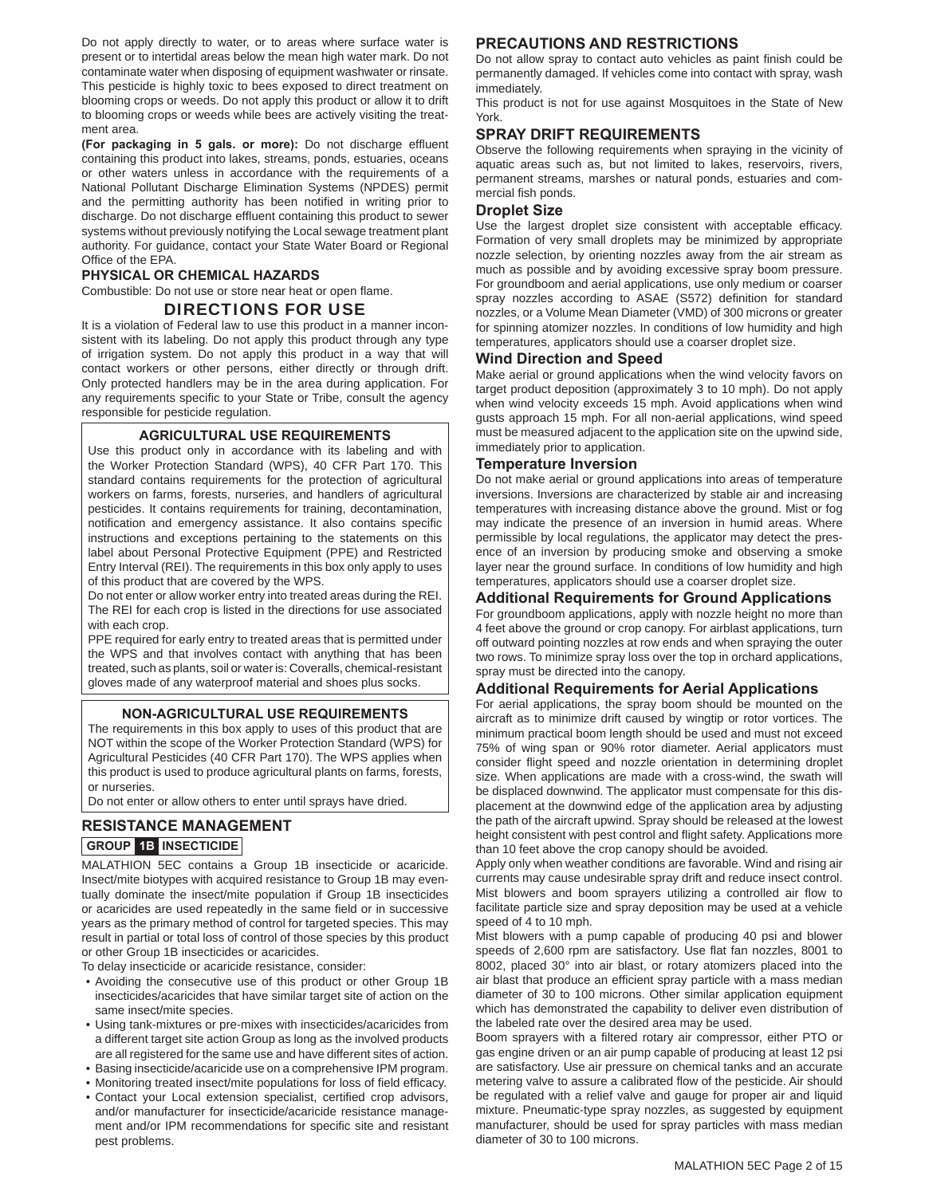Do not apply directly to water, or to areas where surface water is present or to intertidal areas below the mean high water mark. Do not contaminate water when disposing of equipment washwater or rinsate. This pesticide is highly toxic to bees exposed to direct treatment on blooming crops or weeds. Do not apply this product or allow it to drift to blooming crops or weeds while bees are actively visiting the treatment area.

**(For packaging in 5 gals. or more):** Do not discharge effluent containing this product into lakes, streams, ponds, estuaries, oceans or other waters unless in accordance with the requirements of a National Pollutant Discharge Elimination Systems (NPDES) permit and the permitting authority has been notified in writing prior to discharge. Do not discharge effluent containing this product to sewer systems without previously notifying the Local sewage treatment plant authority. For guidance, contact your State Water Board or Regional Office of the EPA.

# **PHYSICAL OR CHEMICAL HAZARDS**

Combustible: Do not use or store near heat or open flame.

# DIRECTIONS FOR USE

It is a violation of Federal law to use this product in a manner inconsistent with its labeling. Do not apply this product through any type of irrigation system. Do not apply this product in a way that will contact workers or other persons, either directly or through drift. Only protected handlers may be in the area during application. For any requirements specific to your State or Tribe, consult the agency responsible for pesticide regulation.

# **AGRICULTURAL USE REQUIREMENTS**

Use this product only in accordance with its labeling and with the Worker Protection Standard (WPS), 40 CFR Part 170. This standard contains requirements for the protection of agricultural workers on farms, forests, nurseries, and handlers of agricultural pesticides. It contains requirements for training, decontamination, notification and emergency assistance. It also contains specific instructions and exceptions pertaining to the statements on this label about Personal Protective Equipment (PPE) and Restricted Entry Interval (REI). The requirements in this box only apply to uses of this product that are covered by the WPS.

Do not enter or allow worker entry into treated areas during the REI. The REI for each crop is listed in the directions for use associated with each crop.

PPE required for early entry to treated areas that is permitted under the WPS and that involves contact with anything that has been treated, such as plants, soil or water is: Coveralls, chemical-resistant gloves made of any waterproof material and shoes plus socks.

### **NON-AGRICULTURAL USE REQUIREMENTS**

The requirements in this box apply to uses of this product that are NOT within the scope of the Worker Protection Standard (WPS) for Agricultural Pesticides (40 CFR Part 170). The WPS applies when this product is used to produce agricultural plants on farms, forests, or nurseries.

Do not enter or allow others to enter until sprays have dried.

# **RESISTANCE MANAGEMENT GROUP 1B INSECTICIDE**

MALATHION 5EC contains a Group 1B insecticide or acaricide. Insect/mite biotypes with acquired resistance to Group 1B may eventually dominate the insect/mite population if Group 1B insecticides or acaricides are used repeatedly in the same field or in successive years as the primary method of control for targeted species. This may result in partial or total loss of control of those species by this product or other Group 1B insecticides or acaricides.

To delay insecticide or acaricide resistance, consider:

- Avoiding the consecutive use of this product or other Group 1B insecticides/acaricides that have similar target site of action on the same insect/mite species.
- Using tank-mixtures or pre-mixes with insecticides/acaricides from a different target site action Group as long as the involved products are all registered for the same use and have different sites of action.
- Basing insecticide/acaricide use on a comprehensive IPM program.
- Monitoring treated insect/mite populations for loss of field efficacy.
- Contact your Local extension specialist, certified crop advisors, and/or manufacturer for insecticide/acaricide resistance management and/or IPM recommendations for specific site and resistant pest problems.

# **PRECAUTIONS AND RESTRICTIONS**

Do not allow spray to contact auto vehicles as paint finish could be permanently damaged. If vehicles come into contact with spray, wash immediately.

This product is not for use against Mosquitoes in the State of New York.

# **SPRAY DRIFT REQUIREMENTS**

Observe the following requirements when spraying in the vicinity of aquatic areas such as, but not limited to lakes, reservoirs, rivers, permanent streams, marshes or natural ponds, estuaries and commercial fish ponds.

## **Droplet Size**

Use the largest droplet size consistent with acceptable efficacy. Formation of very small droplets may be minimized by appropriate nozzle selection, by orienting nozzles away from the air stream as much as possible and by avoiding excessive spray boom pressure. For groundboom and aerial applications, use only medium or coarser spray nozzles according to ASAE (S572) definition for standard nozzles, or a Volume Mean Diameter (VMD) of 300 microns or greater for spinning atomizer nozzles. In conditions of low humidity and high temperatures, applicators should use a coarser droplet size.

## **Wind Direction and Speed**

Make aerial or ground applications when the wind velocity favors on target product deposition (approximately 3 to 10 mph). Do not apply when wind velocity exceeds 15 mph. Avoid applications when wind gusts approach 15 mph. For all non-aerial applications, wind speed must be measured adjacent to the application site on the upwind side, immediately prior to application.

### **Temperature Inversion**

Do not make aerial or ground applications into areas of temperature inversions. Inversions are characterized by stable air and increasing temperatures with increasing distance above the ground. Mist or fog may indicate the presence of an inversion in humid areas. Where permissible by local regulations, the applicator may detect the presence of an inversion by producing smoke and observing a smoke layer near the ground surface. In conditions of low humidity and high temperatures, applicators should use a coarser droplet size.

# **Additional Requirements for Ground Applications**

For groundboom applications, apply with nozzle height no more than 4 feet above the ground or crop canopy. For airblast applications, turn off outward pointing nozzles at row ends and when spraying the outer two rows. To minimize spray loss over the top in orchard applications, spray must be directed into the canopy.

### **Additional Requirements for Aerial Applications**

For aerial applications, the spray boom should be mounted on the aircraft as to minimize drift caused by wingtip or rotor vortices. The minimum practical boom length should be used and must not exceed 75% of wing span or 90% rotor diameter. Aerial applicators must consider flight speed and nozzle orientation in determining droplet size. When applications are made with a cross-wind, the swath will be displaced downwind. The applicator must compensate for this displacement at the downwind edge of the application area by adjusting the path of the aircraft upwind. Spray should be released at the lowest height consistent with pest control and flight safety. Applications more than 10 feet above the crop canopy should be avoided.

Apply only when weather conditions are favorable. Wind and rising air currents may cause undesirable spray drift and reduce insect control. Mist blowers and boom sprayers utilizing a controlled air flow to facilitate particle size and spray deposition may be used at a vehicle speed of 4 to 10 mph.

Mist blowers with a pump capable of producing 40 psi and blower speeds of 2,600 rpm are satisfactory. Use flat fan nozzles, 8001 to 8002, placed 30° into air blast, or rotary atomizers placed into the air blast that produce an efficient spray particle with a mass median diameter of 30 to 100 microns. Other similar application equipment which has demonstrated the capability to deliver even distribution of the labeled rate over the desired area may be used.

Boom sprayers with a filtered rotary air compressor, either PTO or gas engine driven or an air pump capable of producing at least 12 psi are satisfactory. Use air pressure on chemical tanks and an accurate metering valve to assure a calibrated flow of the pesticide. Air should be regulated with a relief valve and gauge for proper air and liquid mixture. Pneumatic-type spray nozzles, as suggested by equipment manufacturer, should be used for spray particles with mass median diameter of 30 to 100 microns.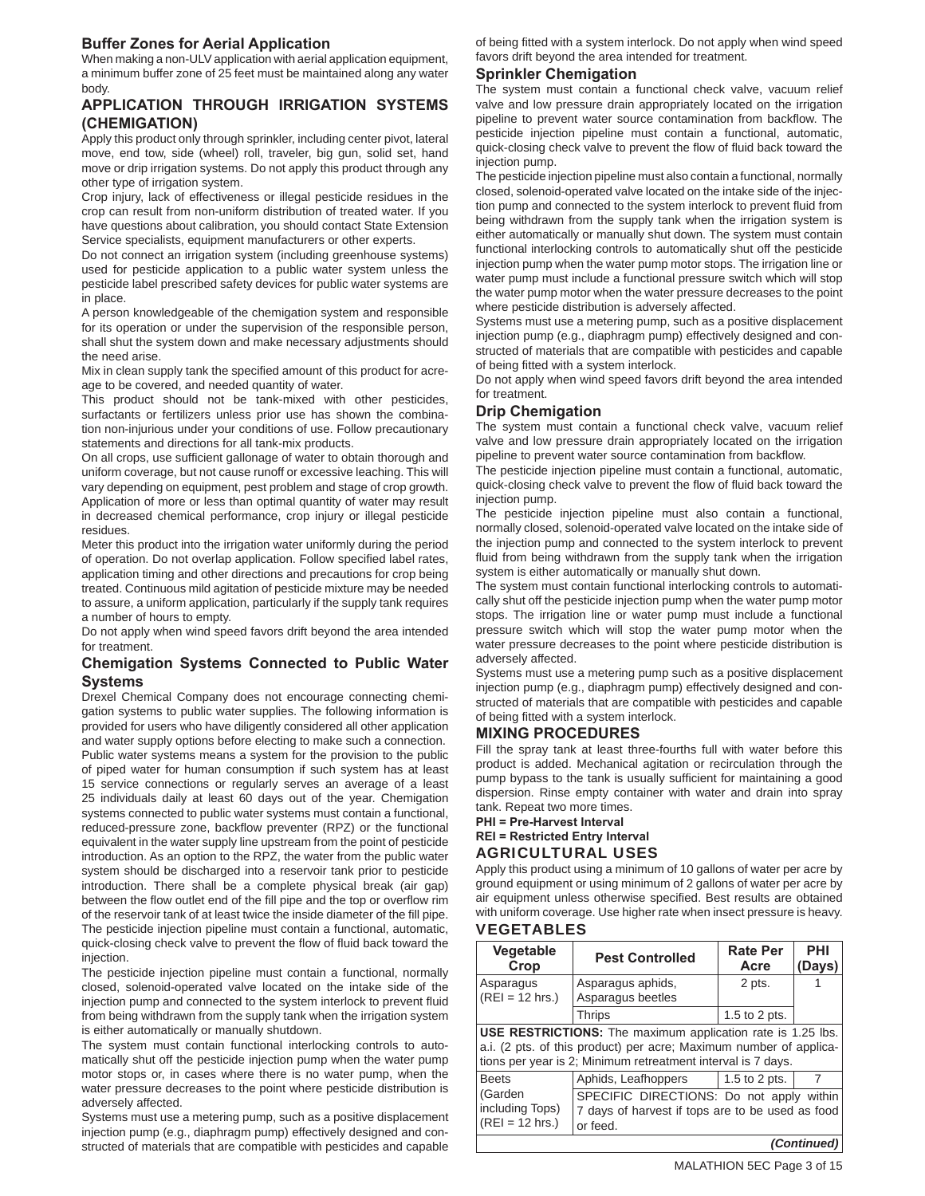# **Buffer Zones for Aerial Application**

When making a non-ULV application with aerial application equipment, a minimum buffer zone of 25 feet must be maintained along any water body.

# **APPLICATION THROUGH IRRIGATION SYSTEMS (CHEMIGATION)**

Apply this product only through sprinkler, including center pivot, lateral move, end tow, side (wheel) roll, traveler, big gun, solid set, hand move or drip irrigation systems. Do not apply this product through any other type of irrigation system.

Crop injury, lack of effectiveness or illegal pesticide residues in the crop can result from non-uniform distribution of treated water. If you have questions about calibration, you should contact State Extension Service specialists, equipment manufacturers or other experts.

Do not connect an irrigation system (including greenhouse systems) used for pesticide application to a public water system unless the pesticide label prescribed safety devices for public water systems are in place.

A person knowledgeable of the chemigation system and responsible for its operation or under the supervision of the responsible person, shall shut the system down and make necessary adjustments should the need arise.

Mix in clean supply tank the specified amount of this product for acreage to be covered, and needed quantity of water.

This product should not be tank-mixed with other pesticides, surfactants or fertilizers unless prior use has shown the combination non-injurious under your conditions of use. Follow precautionary statements and directions for all tank-mix products.

On all crops, use sufficient gallonage of water to obtain thorough and uniform coverage, but not cause runoff or excessive leaching. This will vary depending on equipment, pest problem and stage of crop growth. Application of more or less than optimal quantity of water may result in decreased chemical performance, crop injury or illegal pesticide residues.

Meter this product into the irrigation water uniformly during the period of operation. Do not overlap application. Follow specified label rates, application timing and other directions and precautions for crop being treated. Continuous mild agitation of pesticide mixture may be needed to assure, a uniform application, particularly if the supply tank requires a number of hours to empty.

Do not apply when wind speed favors drift beyond the area intended for treatment.

# **Chemigation Systems Connected to Public Water Systems**

Drexel Chemical Company does not encourage connecting chemigation systems to public water supplies. The following information is provided for users who have diligently considered all other application and water supply options before electing to make such a connection. Public water systems means a system for the provision to the public of piped water for human consumption if such system has at least 15 service connections or regularly serves an average of a least 25 individuals daily at least 60 days out of the year. Chemigation systems connected to public water systems must contain a functional, reduced-pressure zone, backflow preventer (RPZ) or the functional equivalent in the water supply line upstream from the point of pesticide introduction. As an option to the RPZ, the water from the public water system should be discharged into a reservoir tank prior to pesticide introduction. There shall be a complete physical break (air gap) between the flow outlet end of the fill pipe and the top or overflow rim of the reservoir tank of at least twice the inside diameter of the fill pipe. The pesticide injection pipeline must contain a functional, automatic, quick-closing check valve to prevent the flow of fluid back toward the injection.

The pesticide injection pipeline must contain a functional, normally closed, solenoid-operated valve located on the intake side of the injection pump and connected to the system interlock to prevent fluid from being withdrawn from the supply tank when the irrigation system is either automatically or manually shutdown.

The system must contain functional interlocking controls to automatically shut off the pesticide injection pump when the water pump motor stops or, in cases where there is no water pump, when the water pressure decreases to the point where pesticide distribution is adversely affected.

Systems must use a metering pump, such as a positive displacement injection pump (e.g., diaphragm pump) effectively designed and constructed of materials that are compatible with pesticides and capable

of being fitted with a system interlock. Do not apply when wind speed favors drift beyond the area intended for treatment.

# **Sprinkler Chemigation**

The system must contain a functional check valve, vacuum relief valve and low pressure drain appropriately located on the irrigation pipeline to prevent water source contamination from backflow. The pesticide injection pipeline must contain a functional, automatic, quick-closing check valve to prevent the flow of fluid back toward the injection pump.

The pesticide injection pipeline must also contain a functional, normally closed, solenoid-operated valve located on the intake side of the injection pump and connected to the system interlock to prevent fluid from being withdrawn from the supply tank when the irrigation system is either automatically or manually shut down. The system must contain functional interlocking controls to automatically shut off the pesticide injection pump when the water pump motor stops. The irrigation line or water pump must include a functional pressure switch which will stop the water pump motor when the water pressure decreases to the point where pesticide distribution is adversely affected.

Systems must use a metering pump, such as a positive displacement injection pump (e.g., diaphragm pump) effectively designed and constructed of materials that are compatible with pesticides and capable of being fitted with a system interlock.

Do not apply when wind speed favors drift beyond the area intended for treatment.

# **Drip Chemigation**

The system must contain a functional check valve, vacuum relief valve and low pressure drain appropriately located on the irrigation pipeline to prevent water source contamination from backflow.

The pesticide injection pipeline must contain a functional, automatic, quick-closing check valve to prevent the flow of fluid back toward the injection pump.

The pesticide injection pipeline must also contain a functional, normally closed, solenoid-operated valve located on the intake side of the injection pump and connected to the system interlock to prevent fluid from being withdrawn from the supply tank when the irrigation system is either automatically or manually shut down.

The system must contain functional interlocking controls to automatically shut off the pesticide injection pump when the water pump motor stops. The irrigation line or water pump must include a functional pressure switch which will stop the water pump motor when the water pressure decreases to the point where pesticide distribution is adversely affected.

Systems must use a metering pump such as a positive displacement injection pump (e.g., diaphragm pump) effectively designed and constructed of materials that are compatible with pesticides and capable of being fitted with a system interlock.

# **MIXING PROCEDURES**

Fill the spray tank at least three-fourths full with water before this product is added. Mechanical agitation or recirculation through the pump bypass to the tank is usually sufficient for maintaining a good dispersion. Rinse empty container with water and drain into spray tank. Repeat two more times.

**PHI = Pre-Harvest Interval**

**REI = Restricted Entry Interval** AGRICULTURAL USES

Apply this product using a minimum of 10 gallons of water per acre by ground equipment or using minimum of 2 gallons of water per acre by air equipment unless otherwise specified. Best results are obtained with uniform coverage. Use higher rate when insect pressure is heavy.

# VEGETABLES

| Vegetable<br>Crop                                                                                                                                                                                 | <b>Pest Controlled</b>                                                                                   | <b>Rate Per</b><br>Acre | <b>PHI</b><br>(Days) |
|---------------------------------------------------------------------------------------------------------------------------------------------------------------------------------------------------|----------------------------------------------------------------------------------------------------------|-------------------------|----------------------|
| Asparagus<br>$(REI = 12 hrs.)$                                                                                                                                                                    | Asparagus aphids,<br>Asparagus beetles                                                                   | 2 pts.                  |                      |
|                                                                                                                                                                                                   | Thrips                                                                                                   | 1.5 to 2 pts.           |                      |
| USE RESTRICTIONS: The maximum application rate is 1.25 lbs.<br>a.i. (2 pts. of this product) per acre; Maximum number of applica-<br>tions per year is 2; Minimum retreatment interval is 7 days. |                                                                                                          |                         |                      |
| <b>Beets</b>                                                                                                                                                                                      | Aphids, Leafhoppers                                                                                      | $1.5$ to 2 pts.         |                      |
| (Garden<br>including Tops)<br>$(REI = 12 hrs.)$                                                                                                                                                   | SPECIFIC DIRECTIONS: Do not apply within<br>7 days of harvest if tops are to be used as food<br>or feed. |                         |                      |
| (Continued)                                                                                                                                                                                       |                                                                                                          |                         |                      |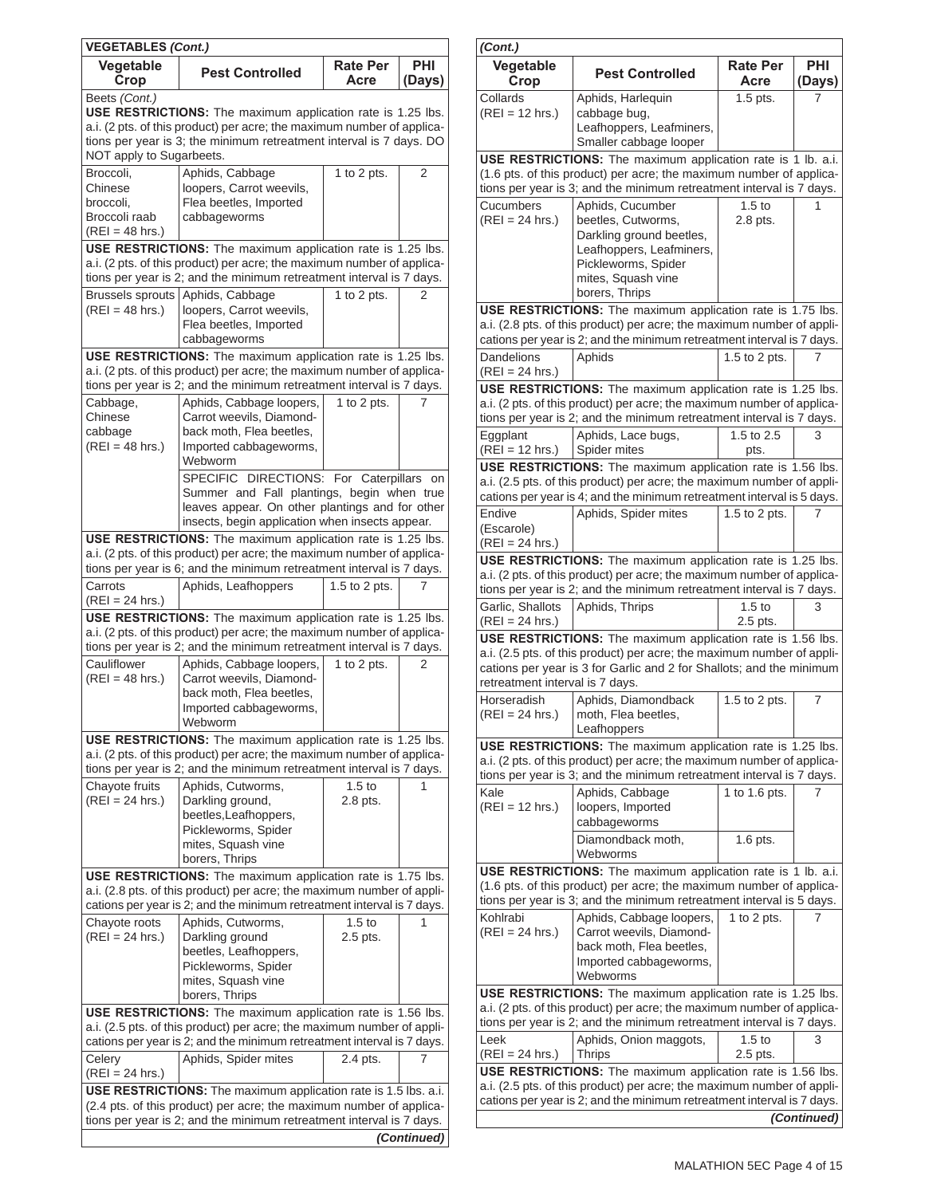| <b>VEGETABLES (Cont.)</b>                                                                                                             |                                                                                                                                                  |                         |               |
|---------------------------------------------------------------------------------------------------------------------------------------|--------------------------------------------------------------------------------------------------------------------------------------------------|-------------------------|---------------|
| Vegetable<br>Crop                                                                                                                     | <b>Pest Controlled</b>                                                                                                                           | <b>Rate Per</b><br>Acre | PHI<br>(Days) |
| Beets (Cont.)                                                                                                                         | USE RESTRICTIONS: The maximum application rate is 1.25 lbs.                                                                                      |                         |               |
|                                                                                                                                       | a.i. (2 pts. of this product) per acre; the maximum number of applica-<br>tions per year is 3; the minimum retreatment interval is 7 days. DO    |                         |               |
| NOT apply to Sugarbeets.                                                                                                              |                                                                                                                                                  |                         |               |
| Broccoli,<br>Chinese                                                                                                                  | Aphids, Cabbage<br>loopers, Carrot weevils,                                                                                                      | 1 to 2 pts.             | 2             |
| broccoli.                                                                                                                             | Flea beetles, Imported                                                                                                                           |                         |               |
| Broccoli raab<br>$(REI = 48 hrs.)$                                                                                                    | cabbageworms                                                                                                                                     |                         |               |
|                                                                                                                                       | USE RESTRICTIONS: The maximum application rate is 1.25 lbs.                                                                                      |                         |               |
|                                                                                                                                       | a.i. (2 pts. of this product) per acre; the maximum number of applica-<br>tions per year is 2; and the minimum retreatment interval is 7 days.   |                         |               |
|                                                                                                                                       | Brussels sprouts Aphids, Cabbage                                                                                                                 | 1 to 2 pts.             | 2             |
| $(REI = 48 hrs.)$                                                                                                                     | loopers, Carrot weevils,                                                                                                                         |                         |               |
|                                                                                                                                       | Flea beetles, Imported<br>cabbageworms                                                                                                           |                         |               |
|                                                                                                                                       | USE RESTRICTIONS: The maximum application rate is 1.25 lbs.                                                                                      |                         |               |
|                                                                                                                                       | a.i. (2 pts. of this product) per acre; the maximum number of applica-<br>tions per year is 2; and the minimum retreatment interval is 7 days.   |                         |               |
| Cabbage,                                                                                                                              | Aphids, Cabbage loopers,                                                                                                                         | 1 to 2 pts.             | 7             |
| Chinese                                                                                                                               | Carrot weevils. Diamond-                                                                                                                         |                         |               |
| cabbage<br>$(REI = 48 hrs.)$                                                                                                          | back moth, Flea beetles,<br>Imported cabbageworms,                                                                                               |                         |               |
|                                                                                                                                       | Webworm                                                                                                                                          |                         |               |
|                                                                                                                                       | SPECIFIC DIRECTIONS: For Caterpillars                                                                                                            |                         | on            |
|                                                                                                                                       | Summer and Fall plantings, begin when true<br>leaves appear. On other plantings and for other                                                    |                         |               |
|                                                                                                                                       | insects, begin application when insects appear.                                                                                                  |                         |               |
|                                                                                                                                       | USE RESTRICTIONS: The maximum application rate is 1.25 lbs.                                                                                      |                         |               |
|                                                                                                                                       | a.i. (2 pts. of this product) per acre; the maximum number of applica-<br>tions per year is 6; and the minimum retreatment interval is 7 days.   |                         |               |
| Carrots                                                                                                                               | Aphids, Leafhoppers                                                                                                                              | 1.5 to 2 pts.           | 7             |
| $(REI = 24 hrs.)$                                                                                                                     |                                                                                                                                                  |                         |               |
| USE RESTRICTIONS: The maximum application rate is 1.25 lbs.<br>a.i. (2 pts. of this product) per acre; the maximum number of applica- |                                                                                                                                                  |                         |               |
|                                                                                                                                       | tions per year is 2; and the minimum retreatment interval is 7 days.                                                                             |                         |               |
| Cauliflower                                                                                                                           | Aphids, Cabbage loopers,                                                                                                                         | 1 to 2 pts.             | 2             |
| $(REI = 48 hrs.)$                                                                                                                     | Carrot weevils, Diamond-<br>back moth, Flea beetles,                                                                                             |                         |               |
|                                                                                                                                       | Imported cabbageworms,                                                                                                                           |                         |               |
|                                                                                                                                       | Webworm<br>USE RESTRICTIONS: The maximum application rate is 1.25 lbs.                                                                           |                         |               |
|                                                                                                                                       | a.i. (2 pts. of this product) per acre; the maximum number of applica-<br>tions per year is 2; and the minimum retreatment interval is 7 days.   |                         |               |
| Chayote fruits                                                                                                                        | Aphids, Cutworms,                                                                                                                                | 1.5 <sub>to</sub>       |               |
| $(REI = 24 hrs.)$                                                                                                                     | Darkling ground,<br>beetles, Leafhoppers,                                                                                                        | 2.8 pts.                |               |
|                                                                                                                                       | Pickleworms, Spider                                                                                                                              |                         |               |
|                                                                                                                                       | mites, Squash vine<br>borers, Thrips                                                                                                             |                         |               |
|                                                                                                                                       | USE RESTRICTIONS: The maximum application rate is 1.75 lbs.                                                                                      |                         |               |
|                                                                                                                                       | a.i. (2.8 pts. of this product) per acre; the maximum number of appli-<br>cations per year is 2; and the minimum retreatment interval is 7 days. |                         |               |
| Chayote roots                                                                                                                         | Aphids, Cutworms,                                                                                                                                | 1.5 <sub>to</sub>       | 1             |
| $(REI = 24 hrs.)$                                                                                                                     | Darkling ground                                                                                                                                  | 2.5 pts.                |               |
|                                                                                                                                       | beetles, Leafhoppers,<br>Pickleworms, Spider                                                                                                     |                         |               |
|                                                                                                                                       | mites, Squash vine                                                                                                                               |                         |               |
|                                                                                                                                       | borers, Thrips<br>USE RESTRICTIONS: The maximum application rate is 1.56 lbs.                                                                    |                         |               |
|                                                                                                                                       | a.i. (2.5 pts. of this product) per acre; the maximum number of appli-<br>cations per year is 2; and the minimum retreatment interval is 7 days. |                         |               |
| Celery                                                                                                                                | Aphids, Spider mites                                                                                                                             | 2.4 pts.                | 7             |
| $(REI = 24 hrs.)$                                                                                                                     |                                                                                                                                                  |                         |               |
|                                                                                                                                       | USE RESTRICTIONS: The maximum application rate is 1.5 lbs. a.i.                                                                                  |                         |               |
|                                                                                                                                       | (2.4 pts. of this product) per acre; the maximum number of applica-<br>tions per year is 2; and the minimum retreatment interval is 7 days.      |                         |               |
|                                                                                                                                       |                                                                                                                                                  |                         | (Continued)   |

| (Cont.)                         |                                                                                                                                                  |                         |               |
|---------------------------------|--------------------------------------------------------------------------------------------------------------------------------------------------|-------------------------|---------------|
| Vegetable<br>Crop               | <b>Pest Controlled</b>                                                                                                                           | <b>Rate Per</b><br>Acre | PHI<br>(Days) |
| Collards<br>(REI = 12 hrs.)     | Aphids, Harlequin<br>cabbage bug,<br>Leafhoppers, Leafminers,                                                                                    | $1.5$ pts.              | 7             |
|                                 | Smaller cabbage looper                                                                                                                           |                         |               |
|                                 | USE RESTRICTIONS: The maximum application rate is 1 lb. a.i.                                                                                     |                         |               |
|                                 | (1.6 pts. of this product) per acre; the maximum number of applica-<br>tions per year is 3; and the minimum retreatment interval is 7 days.      |                         |               |
| Cucumbers                       | Aphids, Cucumber                                                                                                                                 | $1.5$ to                |               |
| (REI = 24 hrs.)                 | beetles, Cutworms,<br>Darkling ground beetles,<br>Leafhoppers, Leafminers,<br>Pickleworms, Spider<br>mites, Squash vine<br>borers, Thrips        | 2.8 pts.                |               |
|                                 | USE RESTRICTIONS: The maximum application rate is 1.75 lbs.                                                                                      |                         |               |
|                                 | a.i. (2.8 pts. of this product) per acre; the maximum number of appli-                                                                           |                         |               |
| Dandelions                      | cations per year is 2; and the minimum retreatment interval is 7 days.<br>Aphids                                                                 |                         | 7             |
| $(REI = 24 hrs.)$               |                                                                                                                                                  | 1.5 to 2 pts.           |               |
|                                 | USE RESTRICTIONS: The maximum application rate is 1.25 lbs.                                                                                      |                         |               |
|                                 | a.i. (2 pts. of this product) per acre; the maximum number of applica-                                                                           |                         |               |
|                                 | tions per year is 2; and the minimum retreatment interval is 7 days.                                                                             |                         |               |
| Eggplant<br>$(REI = 12 hrs.)$   | Aphids, Lace bugs,<br>Spider mites                                                                                                               | 1.5 to 2.5<br>pts.      | 3             |
|                                 | USE RESTRICTIONS: The maximum application rate is 1.56 lbs.                                                                                      |                         |               |
|                                 | a.i. (2.5 pts. of this product) per acre; the maximum number of appli-                                                                           |                         |               |
|                                 | cations per year is 4; and the minimum retreatment interval is 5 days.                                                                           |                         |               |
| Endive<br>(Escarole)            | Aphids, Spider mites                                                                                                                             | 1.5 to 2 pts.           | 7             |
| $(REI = 24 hrs.)$               |                                                                                                                                                  |                         |               |
|                                 | USE RESTRICTIONS: The maximum application rate is 1.25 lbs.                                                                                      |                         |               |
|                                 | a.i. (2 pts. of this product) per acre; the maximum number of applica-                                                                           |                         |               |
| Garlic, Shallots                | tions per year is 2; and the minimum retreatment interval is 7 days.<br>Aphids, Thrips                                                           | 1.5 <sub>to</sub>       | 3             |
| $(REI = 24 hrs.)$               |                                                                                                                                                  | 2.5 pts.                |               |
|                                 | USE RESTRICTIONS: The maximum application rate is 1.56 lbs.                                                                                      |                         |               |
| retreatment interval is 7 days. | a.i. (2.5 pts. of this product) per acre; the maximum number of appli-<br>cations per year is 3 for Garlic and 2 for Shallots; and the minimum   |                         |               |
| Horseradish                     | Aphids, Diamondback                                                                                                                              | 1.5 to 2 pts.           | 7             |
|                                 | $(REI = 24 hrs.)$   moth, Flea beetles,<br>Leafhoppers                                                                                           |                         |               |
|                                 | USE RESTRICTIONS: The maximum application rate is 1.25 lbs.                                                                                      |                         |               |
|                                 | a.i. (2 pts. of this product) per acre; the maximum number of applica-                                                                           |                         |               |
| Kale                            | tions per year is 3; and the minimum retreatment interval is 7 days.<br>Aphids, Cabbage                                                          |                         | 7             |
| $(REI = 12 hrs.)$               | loopers, Imported                                                                                                                                | 1 to 1.6 pts.           |               |
|                                 | cabbageworms                                                                                                                                     |                         |               |
|                                 | Diamondback moth,                                                                                                                                | 1.6 pts.                |               |
|                                 | Webworms<br>USE RESTRICTIONS: The maximum application rate is 1 lb. a.i.                                                                         |                         |               |
|                                 | (1.6 pts. of this product) per acre; the maximum number of applica-<br>tions per year is 3; and the minimum retreatment interval is 5 days.      |                         |               |
| Kohlrabi                        | Aphids, Cabbage loopers,                                                                                                                         | 1 to 2 pts.             |               |
| $(REI = 24 hrs.)$               | Carrot weevils, Diamond-<br>back moth, Flea beetles,                                                                                             |                         |               |
|                                 | Imported cabbageworms,                                                                                                                           |                         |               |
|                                 | Webworms                                                                                                                                         |                         |               |
|                                 | USE RESTRICTIONS: The maximum application rate is 1.25 lbs.                                                                                      |                         |               |
|                                 | a.i. (2 pts. of this product) per acre; the maximum number of applica-<br>tions per year is 2; and the minimum retreatment interval is 7 days.   |                         |               |
| Leek                            | Aphids, Onion maggots,                                                                                                                           | 1.5 <sub>to</sub>       | 3             |
| $(REI = 24 hrs.)$               | Thrips                                                                                                                                           | 2.5 pts.                |               |
|                                 | USE RESTRICTIONS: The maximum application rate is 1.56 lbs.                                                                                      |                         |               |
|                                 | a.i. (2.5 pts. of this product) per acre; the maximum number of appli-<br>cations per year is 2; and the minimum retreatment interval is 7 days. |                         |               |
|                                 |                                                                                                                                                  |                         | (Continued)   |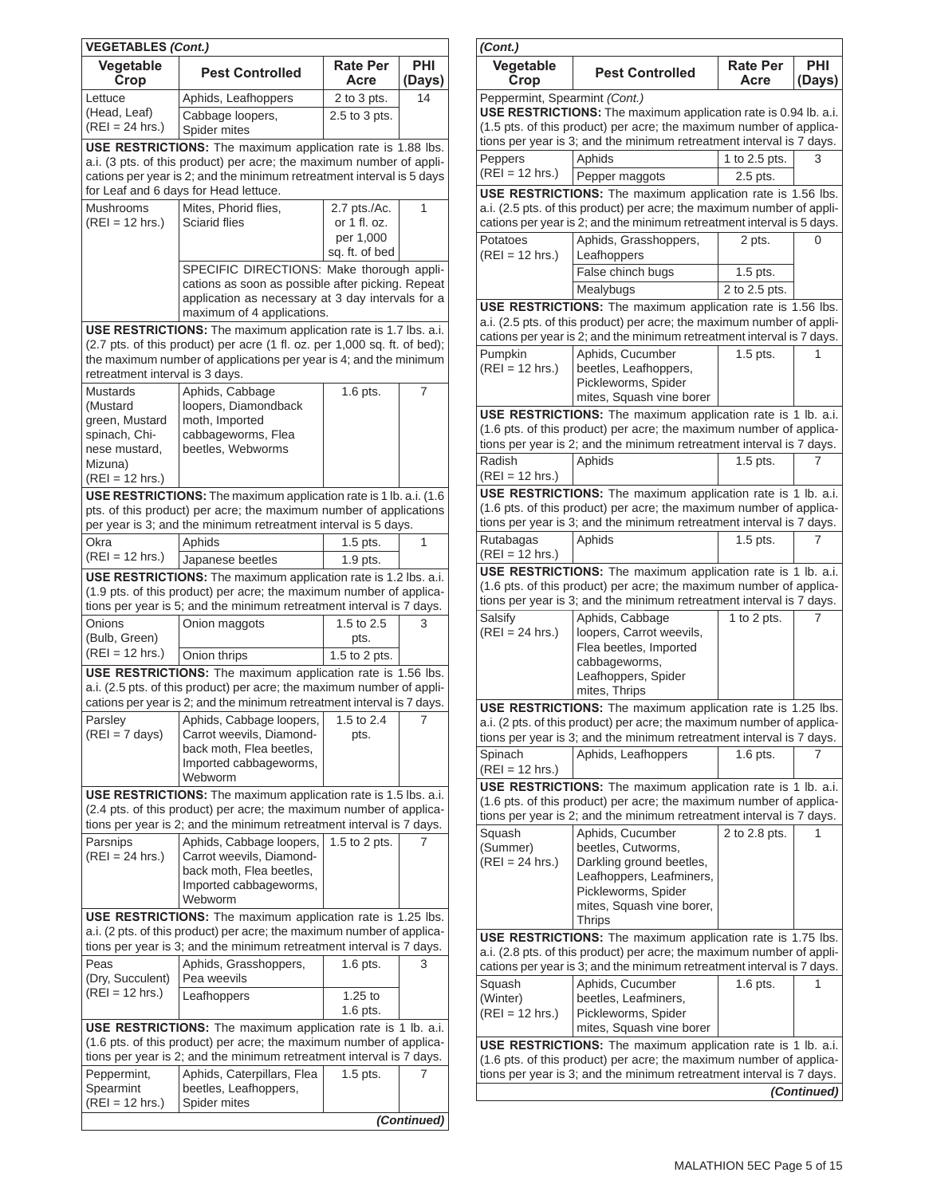| <b>VEGETABLES (Cont.)</b>           |                                                                                                                                                                                                                |                                |               |
|-------------------------------------|----------------------------------------------------------------------------------------------------------------------------------------------------------------------------------------------------------------|--------------------------------|---------------|
| Vegetable<br>Crop                   | <b>Pest Controlled</b>                                                                                                                                                                                         | Rate Per<br>Acre               | PHI<br>(Days) |
| Lettuce                             | Aphids, Leafhoppers                                                                                                                                                                                            | 2 to 3 pts.                    | 14            |
| (Head, Leaf)<br>$(REI = 24 hrs.)$   | Cabbage loopers,<br>Spider mites                                                                                                                                                                               | 2.5 to 3 pts.                  |               |
|                                     | USE RESTRICTIONS: The maximum application rate is 1.88 lbs.                                                                                                                                                    |                                |               |
|                                     | a.i. (3 pts. of this product) per acre; the maximum number of appli-                                                                                                                                           |                                |               |
|                                     | cations per year is 2; and the minimum retreatment interval is 5 days<br>for Leaf and 6 days for Head lettuce.                                                                                                 |                                |               |
| Mushrooms<br>$(REI = 12 hrs.)$      | Mites, Phorid flies,<br>Sciarid flies                                                                                                                                                                          | $2.7$ pts./Ac.<br>or 1 fl. oz. | 1             |
|                                     |                                                                                                                                                                                                                | per 1,000                      |               |
|                                     |                                                                                                                                                                                                                | sq. ft. of bed                 |               |
|                                     | SPECIFIC DIRECTIONS: Make thorough appli-<br>cations as soon as possible after picking. Repeat<br>application as necessary at 3 day intervals for a<br>maximum of 4 applications.                              |                                |               |
|                                     | <b>USE RESTRICTIONS:</b> The maximum application rate is 1.7 lbs. a.i.                                                                                                                                         |                                |               |
| retreatment interval is 3 days.     | (2.7 pts. of this product) per acre (1 fl. oz. per 1,000 sq. ft. of bed);<br>the maximum number of applications per year is 4; and the minimum                                                                 |                                |               |
| <b>Mustards</b>                     | Aphids, Cabbage                                                                                                                                                                                                | $1.6$ pts.                     | 7             |
| (Mustard                            | loopers, Diamondback                                                                                                                                                                                           |                                |               |
| green, Mustard                      | moth, Imported                                                                                                                                                                                                 |                                |               |
| spinach, Chi-<br>nese mustard,      | cabbageworms, Flea<br>beetles, Webworms                                                                                                                                                                        |                                |               |
| Mizuna)                             |                                                                                                                                                                                                                |                                |               |
| $(REI = 12 hrs.)$                   |                                                                                                                                                                                                                |                                |               |
|                                     | USE RESTRICTIONS: The maximum application rate is 1 lb. a.i. (1.6                                                                                                                                              |                                |               |
|                                     | pts. of this product) per acre; the maximum number of applications                                                                                                                                             |                                |               |
|                                     | per year is 3; and the minimum retreatment interval is 5 days.                                                                                                                                                 |                                |               |
| Okra                                | Aphids                                                                                                                                                                                                         | 1.5 pts.                       | 1             |
| $(REI = 12 hrs.)$                   | Japanese beetles                                                                                                                                                                                               | 1.9 pts.                       |               |
|                                     | USE RESTRICTIONS: The maximum application rate is 1.2 lbs. a.i.<br>(1.9 pts. of this product) per acre; the maximum number of applica-<br>tions per year is 5; and the minimum retreatment interval is 7 days. |                                |               |
| Onions                              | Onion maggots                                                                                                                                                                                                  | 1.5 to $2.5$                   | 3             |
| (Bulb, Green)                       |                                                                                                                                                                                                                | pts.                           |               |
| $(REI = 12 hrs.)$                   | Onion thrips                                                                                                                                                                                                   | 1.5 to 2 pts.                  |               |
|                                     | USE RESTRICTIONS: The maximum application rate is 1.56 lbs.                                                                                                                                                    |                                |               |
|                                     | a.i. (2.5 pts. of this product) per acre; the maximum number of appli-                                                                                                                                         |                                |               |
|                                     | cations per year is 2; and the minimum retreatment interval is 7 days.                                                                                                                                         |                                |               |
| Parsley<br>$(REI = 7 \text{ days})$ | Aphids, Cabbage loopers,<br>Carrot weevils, Diamond-                                                                                                                                                           | 1.5 to 2.4<br>pts.             | 7             |
|                                     | back moth, Flea beetles,                                                                                                                                                                                       |                                |               |
|                                     | Imported cabbageworms,                                                                                                                                                                                         |                                |               |
|                                     | Webworm                                                                                                                                                                                                        |                                |               |
|                                     | USE RESTRICTIONS: The maximum application rate is 1.5 lbs. a.i.                                                                                                                                                |                                |               |
|                                     | (2.4 pts. of this product) per acre; the maximum number of applica-<br>tions per year is 2; and the minimum retreatment interval is 7 days.                                                                    |                                |               |
| Parsnips                            | Aphids, Cabbage loopers,                                                                                                                                                                                       | 1.5 to 2 pts.                  | 7             |
| $(REI = 24 hrs.)$                   | Carrot weevils, Diamond-                                                                                                                                                                                       |                                |               |
|                                     | back moth, Flea beetles,                                                                                                                                                                                       |                                |               |
|                                     | Imported cabbageworms,                                                                                                                                                                                         |                                |               |
|                                     | Webworm                                                                                                                                                                                                        |                                |               |
|                                     | USE RESTRICTIONS: The maximum application rate is 1.25 lbs.<br>a.i. (2 pts. of this product) per acre; the maximum number of applica-                                                                          |                                |               |
|                                     | tions per year is 3; and the minimum retreatment interval is 7 days.                                                                                                                                           |                                |               |
| Peas                                | Aphids, Grasshoppers,                                                                                                                                                                                          | $1.6$ pts.                     | 3             |
| (Dry, Succulent)                    | Pea weevils                                                                                                                                                                                                    |                                |               |
| $(REI = 12 hrs.)$                   | Leafhoppers                                                                                                                                                                                                    | $1.25$ to                      |               |
|                                     |                                                                                                                                                                                                                | 1.6 pts.                       |               |
|                                     | USE RESTRICTIONS: The maximum application rate is 1 lb. a.i.                                                                                                                                                   |                                |               |
|                                     | (1.6 pts. of this product) per acre; the maximum number of applica-<br>tions per year is 2; and the minimum retreatment interval is 7 days.                                                                    |                                |               |
| Peppermint,                         | Aphids, Caterpillars, Flea                                                                                                                                                                                     | $1.5$ pts.                     |               |
| Spearmint                           | beetles, Leafhoppers,                                                                                                                                                                                          |                                |               |
| $(REI = 12 hrs.)$                   | Spider mites                                                                                                                                                                                                   |                                |               |
|                                     |                                                                                                                                                                                                                |                                | (Continued)   |

| (Cont.)                                                                                          |                                                                                                                                                                                                                 |                         |               |
|--------------------------------------------------------------------------------------------------|-----------------------------------------------------------------------------------------------------------------------------------------------------------------------------------------------------------------|-------------------------|---------------|
| Vegetable<br>Crop                                                                                | <b>Pest Controlled</b>                                                                                                                                                                                          | <b>Rate Per</b><br>Acre | PHI<br>(Days) |
| Peppermint, Spearmint (Cont.)<br>USE RESTRICTIONS: The maximum application rate is 0.94 lb. a.i. |                                                                                                                                                                                                                 |                         |               |
|                                                                                                  | (1.5 pts. of this product) per acre; the maximum number of applica-<br>tions per year is 3; and the minimum retreatment interval is 7 days.                                                                     |                         |               |
| Peppers                                                                                          | Aphids                                                                                                                                                                                                          | 1 to 2.5 pts.           | 3             |
| $(REI = 12 hrs.)$                                                                                | Pepper maggots                                                                                                                                                                                                  | 2.5 pts.                |               |
|                                                                                                  | USE RESTRICTIONS: The maximum application rate is 1.56 lbs.                                                                                                                                                     |                         |               |
|                                                                                                  | a.i. (2.5 pts. of this product) per acre; the maximum number of appli-<br>cations per year is 2; and the minimum retreatment interval is 5 days.                                                                |                         |               |
| Potatoes<br>$(REI = 12 hrs.)$                                                                    | Aphids, Grasshoppers,<br>Leafhoppers                                                                                                                                                                            | 2 pts.                  | 0             |
|                                                                                                  | False chinch bugs                                                                                                                                                                                               | 1.5 pts.                |               |
|                                                                                                  | Mealybugs                                                                                                                                                                                                       | 2 to 2.5 pts.           |               |
|                                                                                                  | USE RESTRICTIONS: The maximum application rate is 1.56 lbs.<br>a.i. (2.5 pts. of this product) per acre; the maximum number of appli-<br>cations per year is 2; and the minimum retreatment interval is 7 days. |                         |               |
| Pumpkin<br>$(REI = 12 hrs.)$                                                                     | Aphids, Cucumber<br>beetles, Leafhoppers,<br>Pickleworms, Spider<br>mites, Squash vine borer<br>USE RESTRICTIONS: The maximum application rate is 1 lb. a.i.                                                    | $1.5$ pts.              |               |
|                                                                                                  | (1.6 pts. of this product) per acre; the maximum number of applica-                                                                                                                                             |                         |               |
|                                                                                                  | tions per year is 2; and the minimum retreatment interval is 7 days.                                                                                                                                            |                         |               |
| Radish<br>(REI = 12 hrs.)                                                                        | Aphids                                                                                                                                                                                                          | $1.5$ pts.              |               |
|                                                                                                  | USE RESTRICTIONS: The maximum application rate is 1 lb. a.i.<br>(1.6 pts. of this product) per acre; the maximum number of applica-                                                                             |                         |               |
|                                                                                                  | tions per year is 3; and the minimum retreatment interval is 7 days.                                                                                                                                            |                         |               |
| Rutabagas<br>$(REI = 12 hrs.)$                                                                   | Aphids                                                                                                                                                                                                          | $1.5$ pts.              | 7             |
|                                                                                                  | USE RESTRICTIONS: The maximum application rate is 1 lb. a.i.<br>(1.6 pts. of this product) per acre; the maximum number of applica-<br>tions per year is 3; and the minimum retreatment interval is 7 days.     |                         |               |
| Salsify<br>(REI = 24 hrs.)                                                                       | Aphids, Cabbage<br>loopers, Carrot weevils,<br>Flea beetles, Imported<br>cabbageworms,<br>Leafhoppers, Spider<br>mites, Thrips                                                                                  | 1 to 2 pts.             | 7             |
|                                                                                                  | USE RESTRICTIONS: The maximum application rate is 1.25 lbs.                                                                                                                                                     |                         |               |
|                                                                                                  | a.i. (2 pts. of this product) per acre; the maximum number of applica-<br>tions per year is 3; and the minimum retreatment interval is 7 days.                                                                  |                         |               |
| Spinach<br>$(REI = 12 hrs.)$                                                                     | Aphids, Leafhoppers                                                                                                                                                                                             | $1.6$ pts.              | 7             |
|                                                                                                  | USE RESTRICTIONS: The maximum application rate is 1 lb. a.i.<br>(1.6 pts. of this product) per acre; the maximum number of applica-<br>tions per year is 2; and the minimum retreatment interval is 7 days.     |                         |               |
| Squash                                                                                           | Aphids, Cucumber                                                                                                                                                                                                | 2 to 2.8 pts.           | 1             |
| (Summer)<br>$(REI = 24 hrs.)$                                                                    | beetles, Cutworms,<br>Darkling ground beetles,<br>Leafhoppers, Leafminers,<br>Pickleworms, Spider<br>mites, Squash vine borer,<br>Thrips                                                                        |                         |               |
|                                                                                                  | <b>USE RESTRICTIONS:</b> The maximum application rate is 1.75 lbs.                                                                                                                                              |                         |               |
|                                                                                                  | a.i. (2.8 pts. of this product) per acre; the maximum number of appli-<br>cations per year is 3; and the minimum retreatment interval is 7 days.                                                                |                         |               |
| Squash<br>(Winter)                                                                               | Aphids, Cucumber<br>beetles, Leafminers,                                                                                                                                                                        | $1.6$ pts.              | 1             |
| (REI = 12 hrs.)                                                                                  | Pickleworms, Spider                                                                                                                                                                                             |                         |               |
|                                                                                                  | mites, Squash vine borer                                                                                                                                                                                        |                         |               |
|                                                                                                  | <b>USE RESTRICTIONS:</b> The maximum application rate is 1 lb. a.i.<br>(1.6 pts. of this product) per acre; the maximum number of applica-                                                                      |                         |               |
|                                                                                                  | tions per year is 3; and the minimum retreatment interval is 7 days.                                                                                                                                            |                         |               |
|                                                                                                  |                                                                                                                                                                                                                 |                         | (Continued)   |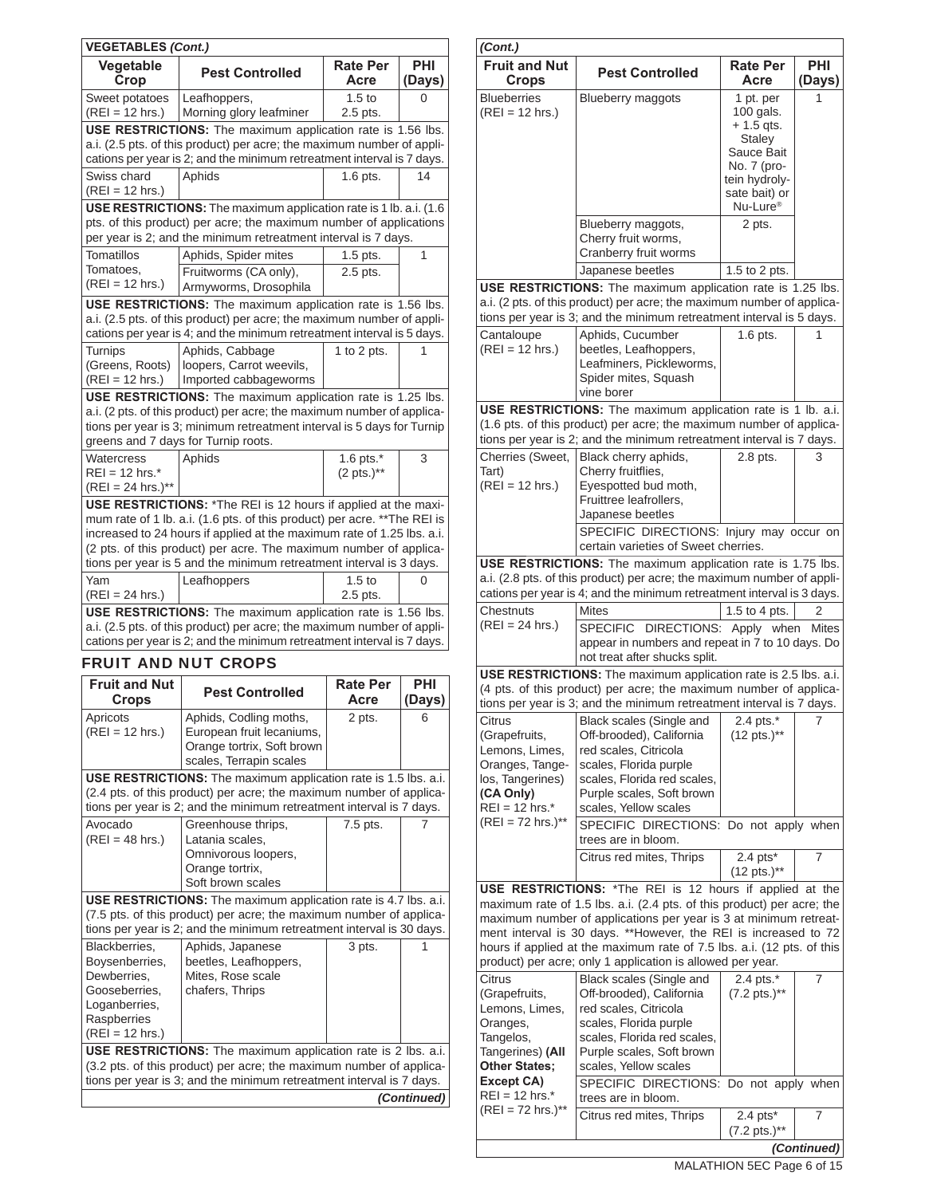| <b>VEGETABLES (Cont.)</b>               |                                                                                                                                                  |                               |               |
|-----------------------------------------|--------------------------------------------------------------------------------------------------------------------------------------------------|-------------------------------|---------------|
| Vegetable<br>Crop                       | <b>Pest Controlled</b>                                                                                                                           | <b>Rate Per</b><br>Acre       | PHI<br>(Days) |
| Sweet potatoes<br>$(REI = 12 hrs.)$     | Leafhoppers,<br>Morning glory leafminer                                                                                                          | 1.5 <sub>to</sub><br>2.5 pts. | 0             |
|                                         | USE RESTRICTIONS: The maximum application rate is 1.56 lbs.                                                                                      |                               |               |
|                                         | a.i. (2.5 pts. of this product) per acre; the maximum number of appli-<br>cations per year is 2; and the minimum retreatment interval is 7 days. |                               |               |
| Swiss chard<br>$(REI = 12 hrs.)$        | Aphids                                                                                                                                           | $1.6$ pts.                    | 14            |
|                                         | USE RESTRICTIONS: The maximum application rate is 1 lb. a.i. (1.6)                                                                               |                               |               |
|                                         | pts. of this product) per acre; the maximum number of applications<br>per year is 2; and the minimum retreatment interval is 7 days.             |                               |               |
| Tomatillos                              | Aphids, Spider mites                                                                                                                             | $1.5$ pts.                    | 1             |
| Tomatoes,<br>$(REI = 12 hrs.)$          | Fruitworms (CA only),<br>Armyworms, Drosophila                                                                                                   | 2.5 pts.                      |               |
|                                         | USE RESTRICTIONS: The maximum application rate is 1.56 lbs.                                                                                      |                               |               |
|                                         | a.i. (2.5 pts. of this product) per acre; the maximum number of appli-<br>cations per year is 4; and the minimum retreatment interval is 5 days. |                               |               |
| <b>Turnips</b>                          | Aphids, Cabbage                                                                                                                                  | 1 to 2 pts.                   | 1             |
| (Greens, Roots)<br>(REI = 12 hrs.)      | loopers, Carrot weevils,<br>Imported cabbageworms                                                                                                |                               |               |
|                                         | USE RESTRICTIONS: The maximum application rate is 1.25 lbs.                                                                                      |                               |               |
|                                         | a.i. (2 pts. of this product) per acre; the maximum number of applica-                                                                           |                               |               |
|                                         | tions per year is 3; minimum retreatment interval is 5 days for Turnip<br>greens and 7 days for Turnip roots.                                    |                               |               |
| Watercress                              | Aphids                                                                                                                                           | 1.6 pts. $*$                  | 3             |
| $REI = 12 hrs.*$<br>$(REI = 24 hrs.)**$ |                                                                                                                                                  | $(2 \text{ pts.})^{**}$       |               |
|                                         | USE RESTRICTIONS: *The REI is 12 hours if applied at the maxi-                                                                                   |                               |               |
|                                         | mum rate of 1 lb. a.i. (1.6 pts. of this product) per acre. ** The REI is                                                                        |                               |               |
|                                         | increased to 24 hours if applied at the maximum rate of 1.25 lbs. a.i.                                                                           |                               |               |
|                                         | (2 pts. of this product) per acre. The maximum number of applica-<br>tions per year is 5 and the minimum retreatment interval is 3 days.         |                               |               |
| Yam                                     | Leafhoppers                                                                                                                                      | 1.5 <sub>to</sub>             | 0             |
| $(REI = 24 hrs.)$                       |                                                                                                                                                  | 2.5 pts.                      |               |
|                                         | USE RESTRICTIONS: The maximum application rate is 1.56 lbs.<br>a.i. (2.5 pts. of this product) per acre; the maximum number of appli-            |                               |               |
|                                         | cations per year is 2; and the minimum retreatment interval is 7 days.                                                                           |                               |               |
|                                         | <b>FRUIT AND NUT CROPS</b>                                                                                                                       |                               |               |
| <b>Fruit and Nut</b><br>Crops           | <b>Pest Controlled</b>                                                                                                                           | <b>Rate Per</b><br>Acre       | PHI<br>(Days) |
| Apricots                                | Aphids, Codling moths,                                                                                                                           | 2 pts.                        | 6             |
| $(REI = 12 hrs.)$                       | European fruit lecaniums,                                                                                                                        |                               |               |
|                                         | Orange tortrix, Soft brown<br>scales, Terrapin scales                                                                                            |                               |               |
|                                         | USE RESTRICTIONS: The maximum application rate is 1.5 lbs. a.i.                                                                                  |                               |               |
|                                         | (2.4 pts. of this product) per acre; the maximum number of applica-                                                                              |                               |               |
|                                         | tions per year is 2; and the minimum retreatment interval is 7 days.                                                                             |                               |               |
| Avocado<br>$(REI = 48 hrs.)$            | Greenhouse thrips,                                                                                                                               | 7.5 pts.                      | 7             |
|                                         | Latania scales,<br>Omnivorous loopers,                                                                                                           |                               |               |
|                                         | Orange tortrix,                                                                                                                                  |                               |               |
|                                         | Soft brown scales                                                                                                                                |                               |               |
|                                         | USE RESTRICTIONS: The maximum application rate is 4.7 lbs. a.i.                                                                                  |                               |               |
|                                         | (7.5 pts. of this product) per acre; the maximum number of applica-<br>tions per year is 2; and the minimum retreatment interval is 30 days.     |                               |               |
| Blackberries,                           | Aphids, Japanese                                                                                                                                 | 3 pts.                        | 1             |
| Boysenberries,                          | beetles, Leafhoppers,                                                                                                                            |                               |               |
| Dewberries,                             | Mites, Rose scale                                                                                                                                |                               |               |
| Gooseberries,<br>Loganberries,          | chafers, Thrips                                                                                                                                  |                               |               |
| Raspberries                             |                                                                                                                                                  |                               |               |
| $(REI = 12 hrs.)$                       |                                                                                                                                                  |                               |               |
|                                         | USE RESTRICTIONS: The maximum application rate is 2 lbs. a.i.                                                                                    |                               |               |
|                                         | (3.2 pts. of this product) per acre; the maximum number of applica-<br>tions per year is 3; and the minimum retreatment interval is 7 days.      |                               |               |
|                                         |                                                                                                                                                  |                               | (Continued)   |
|                                         |                                                                                                                                                  |                               |               |

| (Cont.)               |                                                                                                                                           |                                       |        |
|-----------------------|-------------------------------------------------------------------------------------------------------------------------------------------|---------------------------------------|--------|
| <b>Fruit and Nut</b>  |                                                                                                                                           | Rate Per                              | PHI    |
| <b>Crops</b>          | <b>Pest Controlled</b>                                                                                                                    | Acre                                  | (Days) |
| <b>Blueberries</b>    | Blueberry maggots                                                                                                                         | 1 pt. per                             | 1      |
| $(REI = 12 hrs.)$     |                                                                                                                                           | 100 gals.                             |        |
|                       |                                                                                                                                           | $+1.5$ qts.<br>Staley                 |        |
|                       |                                                                                                                                           | Sauce Bait                            |        |
|                       |                                                                                                                                           | No. 7 (pro-                           |        |
|                       |                                                                                                                                           | tein hydroly-                         |        |
|                       |                                                                                                                                           | sate bait) or<br>Nu-Lure <sup>®</sup> |        |
|                       | Blueberry maggots,                                                                                                                        | 2 pts.                                |        |
|                       | Cherry fruit worms,                                                                                                                       |                                       |        |
|                       | Cranberry fruit worms                                                                                                                     |                                       |        |
|                       | Japanese beetles                                                                                                                          | 1.5 to 2 pts.                         |        |
|                       | USE RESTRICTIONS: The maximum application rate is 1.25 lbs.                                                                               |                                       |        |
|                       | a.i. (2 pts. of this product) per acre; the maximum number of applica-                                                                    |                                       |        |
|                       | tions per year is 3; and the minimum retreatment interval is 5 days.                                                                      |                                       |        |
| Cantaloupe            | Aphids, Cucumber                                                                                                                          | 1.6 pts.                              |        |
| $(REI = 12 hrs.)$     | beetles, Leafhoppers,                                                                                                                     |                                       |        |
|                       | Leafminers, Pickleworms,<br>Spider mites, Squash                                                                                          |                                       |        |
|                       | vine borer                                                                                                                                |                                       |        |
|                       | USE RESTRICTIONS: The maximum application rate is 1 lb. a.i.                                                                              |                                       |        |
|                       | (1.6 pts. of this product) per acre; the maximum number of applica-                                                                       |                                       |        |
|                       | tions per year is 2; and the minimum retreatment interval is 7 days.                                                                      |                                       |        |
| Cherries (Sweet,      | Black cherry aphids,                                                                                                                      | 2.8 pts.                              | 3      |
| Tart)                 | Cherry fruitflies,                                                                                                                        |                                       |        |
| $(REI = 12 hrs.)$     | Eyespotted bud moth,                                                                                                                      |                                       |        |
|                       | Fruittree leafrollers,<br>Japanese beetles                                                                                                |                                       |        |
|                       | SPECIFIC DIRECTIONS: Injury may occur on                                                                                                  |                                       |        |
|                       | certain varieties of Sweet cherries.                                                                                                      |                                       |        |
|                       | USE RESTRICTIONS: The maximum application rate is 1.75 lbs.                                                                               |                                       |        |
|                       | a.i. (2.8 pts. of this product) per acre; the maximum number of appli-                                                                    |                                       |        |
|                       | cations per year is 4; and the minimum retreatment interval is 3 days.                                                                    |                                       |        |
| Chestnuts             | <b>Mites</b>                                                                                                                              | 1.5 to 4 pts.                         | 2      |
| $(REI = 24 hrs.)$     | <b>SPECIFIC</b><br>DIRECTIONS:                                                                                                            | Apply when                            | Mites  |
|                       | appear in numbers and repeat in 7 to 10 days. Do                                                                                          |                                       |        |
|                       | not treat after shucks split.                                                                                                             |                                       |        |
|                       | USE RESTRICTIONS: The maximum application rate is 2.5 lbs. a.i.                                                                           |                                       |        |
|                       | (4 pts. of this product) per acre; the maximum number of applica-<br>tions per year is 3; and the minimum retreatment interval is 7 days. |                                       |        |
| Citrus                | Black scales (Single and                                                                                                                  |                                       | 7      |
| (Grapefruits,         | Off-brooded), California                                                                                                                  | 2.4 pts.*<br>$(12 \text{ pts.})^{**}$ |        |
| Lemons, Limes,        | red scales, Citricola                                                                                                                     |                                       |        |
| Oranges, Tange-       | scales, Florida purple                                                                                                                    |                                       |        |
| los, Tangerines)      | scales, Florida red scales,                                                                                                               |                                       |        |
| (CA Only)             | Purple scales, Soft brown                                                                                                                 |                                       |        |
| $REI = 12 hrs.*$      | scales, Yellow scales                                                                                                                     |                                       |        |
| $(REI = 72 hrs.)**$   | SPECIFIC DIRECTIONS: Do not apply when                                                                                                    |                                       |        |
|                       | trees are in bloom.                                                                                                                       |                                       |        |
|                       | Citrus red mites, Thrips                                                                                                                  | $2.4$ pts*                            | 7      |
|                       | <b>USE RESTRICTIONS:</b> *The REI is 12 hours if applied at the                                                                           | $(12 \text{ pts.})^{**}$              |        |
|                       | maximum rate of 1.5 lbs. a.i. (2.4 pts. of this product) per acre; the                                                                    |                                       |        |
|                       | maximum number of applications per year is 3 at minimum retreat-                                                                          |                                       |        |
|                       | ment interval is 30 days. **However, the REI is increased to 72                                                                           |                                       |        |
|                       | hours if applied at the maximum rate of 7.5 lbs. a.i. (12 pts. of this                                                                    |                                       |        |
|                       | product) per acre; only 1 application is allowed per year.                                                                                |                                       |        |
| Citrus                | Black scales (Single and                                                                                                                  | 2.4 pts. $*$                          | 7      |
| (Grapefruits,         | Off-brooded), California                                                                                                                  | $(7.2 \text{ pts.})^{**}$             |        |
| Lemons, Limes,        | red scales, Citricola                                                                                                                     |                                       |        |
| Oranges,<br>Tangelos, | scales, Florida purple<br>scales, Florida red scales,                                                                                     |                                       |        |
| Tangerines) (All      | Purple scales, Soft brown                                                                                                                 |                                       |        |
| <b>Other States;</b>  | scales, Yellow scales                                                                                                                     |                                       |        |
| Except CA)            | SPECIFIC DIRECTIONS: Do not apply when                                                                                                    |                                       |        |
| $REI = 12 hrs.*$      | trees are in bloom.                                                                                                                       |                                       |        |
| $(REI = 72 hrs.)**$   | Citrus red mites, Thrips                                                                                                                  | $2.4$ pts $*$                         | 7      |
|                       |                                                                                                                                           | $(7.2 \text{ pts.})^{**}$             |        |

 *(Continued)* MALATHION 5EC Page 6 of 15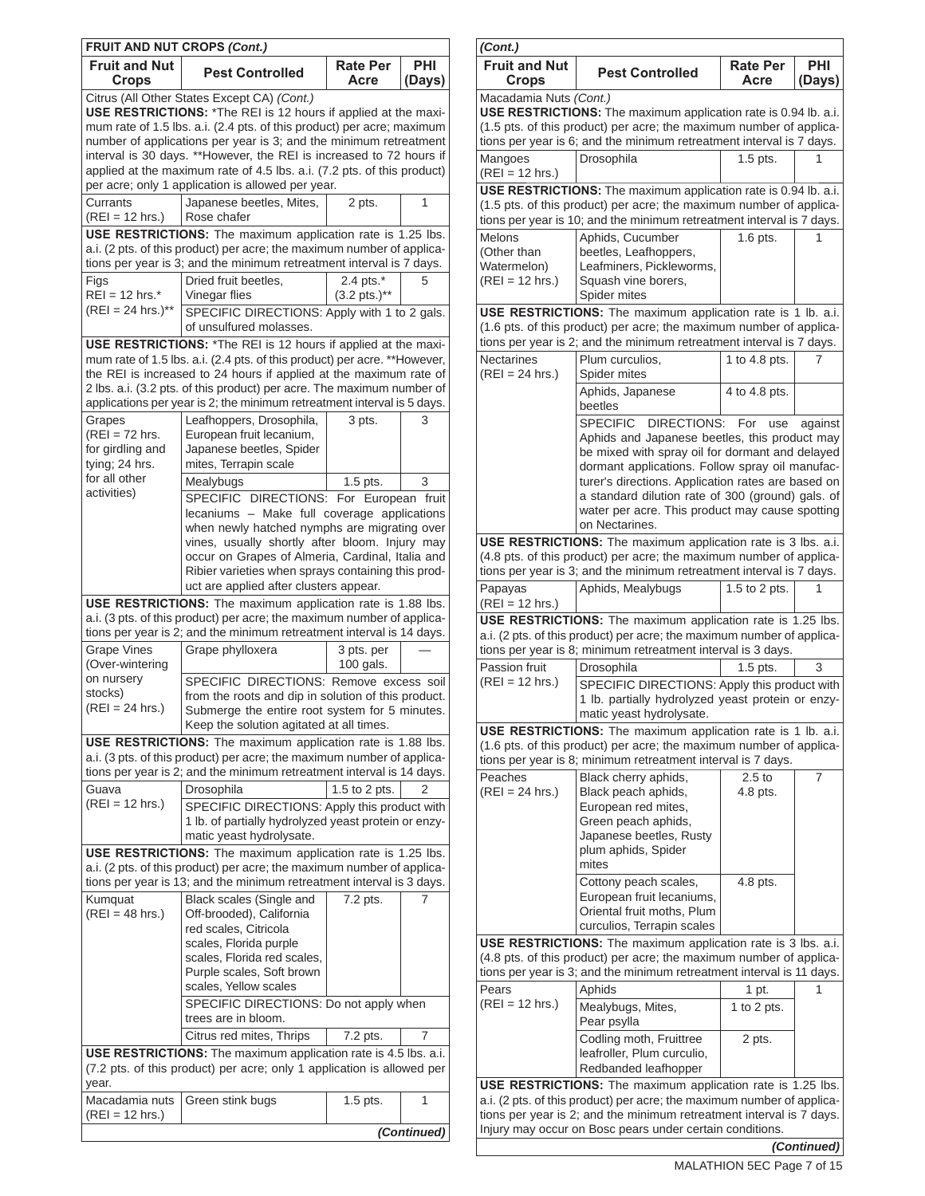| FRUIT AND NUT CROPS (Cont.)                                                                                                                                                                                                                                                                                                                                                                                    |                                                                                                                                                                                                                                                                                                                                                                                                    |                                             |               |
|----------------------------------------------------------------------------------------------------------------------------------------------------------------------------------------------------------------------------------------------------------------------------------------------------------------------------------------------------------------------------------------------------------------|----------------------------------------------------------------------------------------------------------------------------------------------------------------------------------------------------------------------------------------------------------------------------------------------------------------------------------------------------------------------------------------------------|---------------------------------------------|---------------|
| <b>Fruit and Nut</b><br><b>Crops</b>                                                                                                                                                                                                                                                                                                                                                                           | <b>Pest Controlled</b>                                                                                                                                                                                                                                                                                                                                                                             | <b>Rate Per</b><br>Acre                     | PHI<br>(Days) |
| Citrus (All Other States Except CA) (Cont.)<br>USE RESTRICTIONS: *The REI is 12 hours if applied at the maxi-<br>mum rate of 1.5 lbs. a.i. (2.4 pts. of this product) per acre; maximum<br>number of applications per year is 3; and the minimum retreatment<br>interval is 30 days. **However, the REI is increased to 72 hours if<br>applied at the maximum rate of 4.5 lbs. a.i. (7.2 pts. of this product) |                                                                                                                                                                                                                                                                                                                                                                                                    |                                             |               |
| Currants<br>$(REI = 12 hrs.)$                                                                                                                                                                                                                                                                                                                                                                                  | per acre; only 1 application is allowed per year.<br>Japanese beetles, Mites,<br>Rose chafer                                                                                                                                                                                                                                                                                                       | 2 pts.                                      | 1             |
|                                                                                                                                                                                                                                                                                                                                                                                                                | USE RESTRICTIONS: The maximum application rate is 1.25 lbs.<br>a.i. (2 pts. of this product) per acre; the maximum number of applica-<br>tions per year is 3; and the minimum retreatment interval is 7 days.                                                                                                                                                                                      |                                             |               |
| Figs<br>$REI = 12 hrs.*$<br>$(REI = 24 hrs.)**$                                                                                                                                                                                                                                                                                                                                                                | Dried fruit beetles,<br>Vinegar flies<br>SPECIFIC DIRECTIONS: Apply with 1 to 2 gals.                                                                                                                                                                                                                                                                                                              | $2.4$ pts. $*$<br>$(3.2 \text{ pts.})^{**}$ | 5             |
|                                                                                                                                                                                                                                                                                                                                                                                                                | of unsulfured molasses.<br>USE RESTRICTIONS: *The REI is 12 hours if applied at the maxi-<br>mum rate of 1.5 lbs. a.i. (2.4 pts. of this product) per acre. ** However,<br>the REI is increased to 24 hours if applied at the maximum rate of<br>2 lbs. a.i. (3.2 pts. of this product) per acre. The maximum number of<br>applications per year is 2; the minimum retreatment interval is 5 days. |                                             |               |
| Grapes<br>$(REI = 72$ hrs.<br>for girdling and<br>tying; 24 hrs.                                                                                                                                                                                                                                                                                                                                               | Leafhoppers, Drosophila,<br>European fruit lecanium,<br>Japanese beetles, Spider<br>mites, Terrapin scale                                                                                                                                                                                                                                                                                          | 3 pts.                                      | 3             |
| for all other                                                                                                                                                                                                                                                                                                                                                                                                  | Mealybugs                                                                                                                                                                                                                                                                                                                                                                                          | $1.5$ pts.                                  | 3             |
| activities)                                                                                                                                                                                                                                                                                                                                                                                                    | SPECIFIC DIRECTIONS: For European fruit<br>lecaniums - Make full coverage applications<br>when newly hatched nymphs are migrating over<br>vines, usually shortly after bloom. Injury may<br>occur on Grapes of Almeria, Cardinal, Italia and<br>Ribier varieties when sprays containing this prod-<br>uct are applied after clusters appear.                                                       |                                             |               |
|                                                                                                                                                                                                                                                                                                                                                                                                                | <b>USE RESTRICTIONS:</b> The maximum application rate is 1.88 lbs.<br>a.i. (3 pts. of this product) per acre; the maximum number of applica-<br>tions per year is 2; and the minimum retreatment interval is 14 days.                                                                                                                                                                              |                                             |               |
| <b>Grape Vines</b><br>(Over-wintering                                                                                                                                                                                                                                                                                                                                                                          | Grape phylloxera                                                                                                                                                                                                                                                                                                                                                                                   | 3 pts. per<br>100 gals.                     |               |
| on nursery<br>stocks)<br>$(REI = 24 hrs.)$                                                                                                                                                                                                                                                                                                                                                                     | SPECIFIC DIRECTIONS: Remove excess soil<br>from the roots and dip in solution of this product.<br>Submerge the entire root system for 5 minutes.<br>Keep the solution agitated at all times.                                                                                                                                                                                                       |                                             |               |
|                                                                                                                                                                                                                                                                                                                                                                                                                | USE RESTRICTIONS: The maximum application rate is 1.88 lbs.<br>a.i. (3 pts. of this product) per acre; the maximum number of applica-<br>tions per year is 2; and the minimum retreatment interval is 14 days.                                                                                                                                                                                     |                                             |               |
| Guava<br>$(REI = 12 hrs.)$                                                                                                                                                                                                                                                                                                                                                                                     | Drosophila<br>SPECIFIC DIRECTIONS: Apply this product with<br>1 lb. of partially hydrolyzed yeast protein or enzy-<br>matic yeast hydrolysate.                                                                                                                                                                                                                                                     | 1.5 to 2 pts.                               | 2             |
|                                                                                                                                                                                                                                                                                                                                                                                                                | <b>USE RESTRICTIONS:</b> The maximum application rate is 1.25 lbs.<br>a.i. (2 pts. of this product) per acre; the maximum number of applica-<br>tions per year is 13; and the minimum retreatment interval is 3 days.                                                                                                                                                                              |                                             |               |
| Kumquat<br>$(REI = 48 hrs.)$                                                                                                                                                                                                                                                                                                                                                                                   | Black scales (Single and<br>Off-brooded), California<br>red scales, Citricola<br>scales, Florida purple<br>scales, Florida red scales,<br>Purple scales, Soft brown<br>scales, Yellow scales                                                                                                                                                                                                       | 7.2 pts.                                    | 7             |
|                                                                                                                                                                                                                                                                                                                                                                                                                | SPECIFIC DIRECTIONS: Do not apply when<br>trees are in bloom.                                                                                                                                                                                                                                                                                                                                      |                                             |               |
|                                                                                                                                                                                                                                                                                                                                                                                                                | Citrus red mites, Thrips                                                                                                                                                                                                                                                                                                                                                                           | 7.2 pts.                                    | 7             |
| year.                                                                                                                                                                                                                                                                                                                                                                                                          | <b>USE RESTRICTIONS:</b> The maximum application rate is 4.5 lbs. a.i.<br>(7.2 pts. of this product) per acre; only 1 application is allowed per                                                                                                                                                                                                                                                   |                                             |               |
| Macadamia nuts<br>$(REI = 12 hrs.)$                                                                                                                                                                                                                                                                                                                                                                            | Green stink bugs                                                                                                                                                                                                                                                                                                                                                                                   | 1.5 pts.                                    | 1             |
|                                                                                                                                                                                                                                                                                                                                                                                                                |                                                                                                                                                                                                                                                                                                                                                                                                    |                                             | (Continued)   |

| (Cont.)                                                                                                                                                          |                                                                                                                                                                                                                                                                                                                                                                       |                         |               |
|------------------------------------------------------------------------------------------------------------------------------------------------------------------|-----------------------------------------------------------------------------------------------------------------------------------------------------------------------------------------------------------------------------------------------------------------------------------------------------------------------------------------------------------------------|-------------------------|---------------|
| <b>Fruit and Nut</b><br><b>Crops</b>                                                                                                                             | <b>Pest Controlled</b>                                                                                                                                                                                                                                                                                                                                                | <b>Rate Per</b><br>Acre | PHI<br>(Days) |
| Macadamia Nuts (Cont.)<br>USE RESTRICTIONS: The maximum application rate is 0.94 lb. a.i.<br>(1.5 pts. of this product) per acre; the maximum number of applica- |                                                                                                                                                                                                                                                                                                                                                                       |                         |               |
|                                                                                                                                                                  | tions per year is 6; and the minimum retreatment interval is 7 days.                                                                                                                                                                                                                                                                                                  |                         |               |
| Mangoes<br>$(REI = 12 hrs.)$                                                                                                                                     | Drosophila                                                                                                                                                                                                                                                                                                                                                            | 1.5 pts.                |               |
|                                                                                                                                                                  | USE RESTRICTIONS: The maximum application rate is 0.94 lb. a.i.<br>(1.5 pts. of this product) per acre; the maximum number of applica-<br>tions per year is 10; and the minimum retreatment interval is 7 days.                                                                                                                                                       |                         |               |
| Melons<br>(Other than<br>Watermelon)<br>$(REI = 12 hrs.)$                                                                                                        | Aphids, Cucumber<br>beetles, Leafhoppers,<br>Leafminers, Pickleworms,<br>Squash vine borers,<br>Spider mites                                                                                                                                                                                                                                                          | 1.6 pts.                | 1             |
|                                                                                                                                                                  | USE RESTRICTIONS: The maximum application rate is 1 lb. a.i.<br>(1.6 pts. of this product) per acre; the maximum number of applica-<br>tions per year is 2; and the minimum retreatment interval is 7 days.                                                                                                                                                           |                         |               |
| <b>Nectarines</b><br>$(REI = 24 hrs.)$                                                                                                                           | Plum curculios,<br>Spider mites                                                                                                                                                                                                                                                                                                                                       | 1 to 4.8 pts.           | 7             |
|                                                                                                                                                                  | Aphids, Japanese<br>beetles                                                                                                                                                                                                                                                                                                                                           | 4 to 4.8 pts.           |               |
|                                                                                                                                                                  | <b>SPECIFIC</b><br>DIRECTIONS:<br>Aphids and Japanese beetles, this product may<br>be mixed with spray oil for dormant and delayed<br>dormant applications. Follow spray oil manufac-<br>turer's directions. Application rates are based on<br>a standard dilution rate of 300 (ground) gals. of<br>water per acre. This product may cause spotting<br>on Nectarines. | For<br>use              | against       |
|                                                                                                                                                                  | USE RESTRICTIONS: The maximum application rate is 3 lbs. a.i.                                                                                                                                                                                                                                                                                                         |                         |               |
|                                                                                                                                                                  | (4.8 pts. of this product) per acre; the maximum number of applica-                                                                                                                                                                                                                                                                                                   |                         |               |
|                                                                                                                                                                  | tions per year is 3; and the minimum retreatment interval is 7 days.                                                                                                                                                                                                                                                                                                  |                         |               |
| Papayas<br>$(REI = 12 hrs.)$                                                                                                                                     | Aphids, Mealybugs                                                                                                                                                                                                                                                                                                                                                     | 1.5 to 2 pts.           |               |
|                                                                                                                                                                  | USE RESTRICTIONS: The maximum application rate is 1.25 lbs.<br>a.i. (2 pts. of this product) per acre; the maximum number of applica-                                                                                                                                                                                                                                 |                         |               |
|                                                                                                                                                                  | tions per year is 8; minimum retreatment interval is 3 days.                                                                                                                                                                                                                                                                                                          |                         |               |
| Passion fruit                                                                                                                                                    | Drosophila                                                                                                                                                                                                                                                                                                                                                            | 1.5 pts.                | 3             |
| $(REI = 12 hrs.)$                                                                                                                                                | SPECIFIC DIRECTIONS: Apply this product with<br>1 lb. partially hydrolyzed yeast protein or enzy-                                                                                                                                                                                                                                                                     |                         |               |
|                                                                                                                                                                  | matic yeast hydrolysate.                                                                                                                                                                                                                                                                                                                                              |                         |               |
|                                                                                                                                                                  | USE RESTRICTIONS: The maximum application rate is 1 lb. a.i.<br>(1.6 pts. of this product) per acre; the maximum number of applica-<br>tions per year is 8; minimum retreatment interval is 7 days.                                                                                                                                                                   |                         |               |
| Peaches                                                                                                                                                          | Black cherry aphids,                                                                                                                                                                                                                                                                                                                                                  | 2.5 <sub>to</sub>       | 7             |
| $(REI = 24 hrs.)$                                                                                                                                                | Black peach aphids,<br>European red mites,<br>Green peach aphids,<br>Japanese beetles, Rusty<br>plum aphids, Spider<br>mites                                                                                                                                                                                                                                          | 4.8 pts.                |               |
|                                                                                                                                                                  | Cottony peach scales,<br>European fruit lecaniums,<br>Oriental fruit moths, Plum<br>curculios, Terrapin scales                                                                                                                                                                                                                                                        | 4.8 pts.                |               |
|                                                                                                                                                                  | USE RESTRICTIONS: The maximum application rate is 3 lbs. a.i.<br>(4.8 pts. of this product) per acre; the maximum number of applica-                                                                                                                                                                                                                                  |                         |               |
|                                                                                                                                                                  | tions per year is 3; and the minimum retreatment interval is 11 days.                                                                                                                                                                                                                                                                                                 |                         |               |
| Pears                                                                                                                                                            | Aphids                                                                                                                                                                                                                                                                                                                                                                | 1 pt.                   | 1             |
| $(REI = 12 hrs.)$                                                                                                                                                | Mealybugs, Mites,<br>Pear psylla                                                                                                                                                                                                                                                                                                                                      | 1 to 2 pts.             |               |
|                                                                                                                                                                  | Codling moth, Fruittree<br>leafroller, Plum curculio,<br>Redbanded leafhopper                                                                                                                                                                                                                                                                                         | 2 pts.                  |               |
|                                                                                                                                                                  | <b>USE RESTRICTIONS:</b> The maximum application rate is 1.25 lbs.                                                                                                                                                                                                                                                                                                    |                         |               |
|                                                                                                                                                                  | a.i. (2 pts. of this product) per acre; the maximum number of applica-                                                                                                                                                                                                                                                                                                |                         |               |
|                                                                                                                                                                  | tions per year is 2; and the minimum retreatment interval is 7 days.<br>Injury may occur on Bosc pears under certain conditions.                                                                                                                                                                                                                                      |                         |               |

 *(Continued)*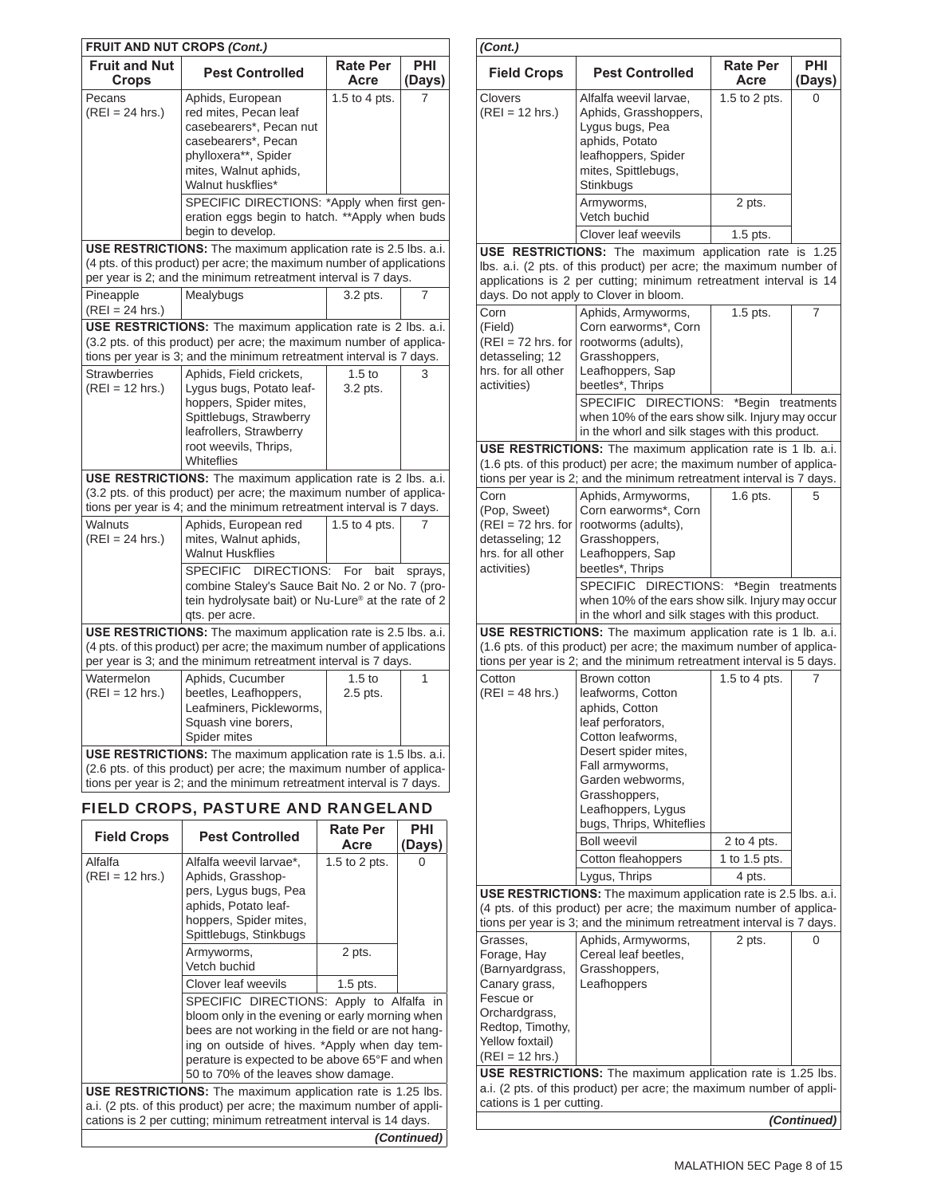|                                          | FRUIT AND NUT CROPS (Cont.)                                                                                                                                                                                                                                                                                                                                                                      |                               |               |  |
|------------------------------------------|--------------------------------------------------------------------------------------------------------------------------------------------------------------------------------------------------------------------------------------------------------------------------------------------------------------------------------------------------------------------------------------------------|-------------------------------|---------------|--|
| <b>Fruit and Nut</b><br><b>Crops</b>     | <b>Pest Controlled</b>                                                                                                                                                                                                                                                                                                                                                                           | <b>Rate Per</b><br>Acre       | PHI<br>(Days) |  |
| Pecans<br>$(REI = 24 hrs.)$              | Aphids, European<br>red mites, Pecan leaf<br>casebearers*, Pecan nut<br>casebearers*, Pecan<br>phylloxera**, Spider<br>mites, Walnut aphids,<br>Walnut huskflies*                                                                                                                                                                                                                                | 1.5 to 4 pts.                 | 7             |  |
|                                          | SPECIFIC DIRECTIONS: *Apply when first gen-<br>eration eggs begin to hatch. **Apply when buds<br>begin to develop.                                                                                                                                                                                                                                                                               |                               |               |  |
|                                          | USE RESTRICTIONS: The maximum application rate is 2.5 lbs. a.i.<br>(4 pts. of this product) per acre; the maximum number of applications<br>per year is 2; and the minimum retreatment interval is 7 days.                                                                                                                                                                                       |                               |               |  |
| Pineapple<br>$(REI = 24 hrs.)$           | Mealybugs                                                                                                                                                                                                                                                                                                                                                                                        | 3.2 pts.                      | 7             |  |
|                                          | USE RESTRICTIONS: The maximum application rate is 2 lbs. a.i.<br>(3.2 pts. of this product) per acre; the maximum number of applica-<br>tions per year is 3; and the minimum retreatment interval is 7 days.                                                                                                                                                                                     |                               |               |  |
| <b>Strawberries</b><br>$(REI = 12 hrs.)$ | Aphids, Field crickets,<br>Lygus bugs, Potato leaf-<br>hoppers, Spider mites,<br>Spittlebugs, Strawberry<br>leafrollers, Strawberry<br>root weevils, Thrips,<br>Whiteflies                                                                                                                                                                                                                       | 1.5 <sub>to</sub><br>3.2 pts. | 3             |  |
|                                          | USE RESTRICTIONS: The maximum application rate is 2 lbs. a.i.<br>(3.2 pts. of this product) per acre; the maximum number of applica-<br>tions per year is 4; and the minimum retreatment interval is 7 days.                                                                                                                                                                                     |                               |               |  |
| Walnuts<br>$(REI = 24 hrs.)$             | Aphids, European red<br>mites, Walnut aphids,<br><b>Walnut Huskflies</b>                                                                                                                                                                                                                                                                                                                         | 1.5 to 4 pts.                 |               |  |
|                                          | SPECIFIC DIRECTIONS:<br>combine Staley's Sauce Bait No. 2 or No. 7 (pro-<br>tein hydrolysate bait) or Nu-Lure® at the rate of 2<br>qts. per acre.<br>USE RESTRICTIONS: The maximum application rate is 2.5 lbs. a.i.                                                                                                                                                                             | For<br>bait                   | sprays,       |  |
|                                          | (4 pts. of this product) per acre; the maximum number of applications<br>per year is 3; and the minimum retreatment interval is 7 days.                                                                                                                                                                                                                                                          |                               |               |  |
| Watermelon<br>$(REI = 12 hrs.)$          | Aphids, Cucumber<br>beetles, Leafhoppers,<br>Leafminers, Pickleworms,<br>Squash vine borers,<br>Spider mites                                                                                                                                                                                                                                                                                     | $1.5$ to<br>2.5 pts.          | 1             |  |
|                                          | USE RESTRICTIONS: The maximum application rate is 1.5 lbs. a.i.<br>(2.6 pts. of this product) per acre; the maximum number of applica-<br>tions per year is 2; and the minimum retreatment interval is 7 days.                                                                                                                                                                                   |                               |               |  |
|                                          | FIELD CROPS, PASTURE AND RANGELAND                                                                                                                                                                                                                                                                                                                                                               |                               |               |  |
| <b>Field Crops</b>                       | <b>Pest Controlled</b>                                                                                                                                                                                                                                                                                                                                                                           | <b>Rate Per</b><br>Acre       | PHI<br>(Days) |  |
| Alfalfa<br>$(REI = 12 hrs.)$             | Alfalfa weevil larvae*.<br>Aphids, Grasshop-<br>pers, Lygus bugs, Pea<br>aphids, Potato leaf-<br>hoppers, Spider mites,<br>Spittlebugs, Stinkbugs                                                                                                                                                                                                                                                | 1.5 to 2 pts.                 | 0             |  |
|                                          | Armyworms,<br>Vetch buchid                                                                                                                                                                                                                                                                                                                                                                       | 2 pts.                        |               |  |
|                                          | <b>Clover leaf weevils</b><br>SPECIFIC DIRECTIONS: Apply to Alfalfa in<br>bloom only in the evening or early morning when<br>bees are not working in the field or are not hang-<br>ing on outside of hives. *Apply when day tem-<br>perature is expected to be above 65°F and when<br>50 to 70% of the leaves show damage.<br><b>USE RESTRICTIONS:</b> The maximum application rate is 1.25 lbs. | 1.5 pts.                      |               |  |
|                                          | a.i. (2 pts. of this product) per acre; the maximum number of appli-<br>cations is 2 per cutting; minimum retreatment interval is 14 days.                                                                                                                                                                                                                                                       |                               |               |  |
|                                          |                                                                                                                                                                                                                                                                                                                                                                                                  |                               | (Continued)   |  |

| (Cont.)                                                                                                                                               |                                                                                                                                                                                                                                                                              |                         |               |
|-------------------------------------------------------------------------------------------------------------------------------------------------------|------------------------------------------------------------------------------------------------------------------------------------------------------------------------------------------------------------------------------------------------------------------------------|-------------------------|---------------|
| <b>Field Crops</b>                                                                                                                                    | <b>Pest Controlled</b>                                                                                                                                                                                                                                                       | <b>Rate Per</b><br>Acre | PHI<br>(Days) |
| Clovers<br>$(REI = 12 hrs.)$                                                                                                                          | Alfalfa weevil larvae.<br>Aphids, Grasshoppers,<br>Lygus bugs, Pea<br>aphids, Potato<br>leafhoppers, Spider<br>mites, Spittlebugs,<br>Stinkbugs                                                                                                                              | 1.5 to 2 pts.           | 0             |
|                                                                                                                                                       | Armyworms,<br>Vetch buchid                                                                                                                                                                                                                                                   | 2 pts.                  |               |
|                                                                                                                                                       | Clover leaf weevils                                                                                                                                                                                                                                                          | 1.5 pts.                |               |
|                                                                                                                                                       | USE RESTRICTIONS: The maximum application rate is 1.25<br>lbs. a.i. (2 pts. of this product) per acre; the maximum number of<br>applications is 2 per cutting; minimum retreatment interval is 14<br>days. Do not apply to Clover in bloom.                                  |                         |               |
| Corn<br>(Field)<br>$(REI = 72$ hrs. for<br>detasseling; 12<br>hrs. for all other<br>activities)                                                       | Aphids, Armyworms,<br>Corn earworms*, Corn<br>rootworms (adults),<br>Grasshoppers,<br>Leafhoppers, Sap<br>beetles*, Thrips                                                                                                                                                   | $1.5$ pts.              | 7             |
|                                                                                                                                                       | <b>SPECIFIC</b><br>DIRECTIONS:<br>when 10% of the ears show silk. Injury may occur<br>in the whorl and silk stages with this product.<br>USE RESTRICTIONS: The maximum application rate is 1 lb. a.i.<br>(1.6 pts. of this product) per acre; the maximum number of applica- | *Begin                  | treatments    |
|                                                                                                                                                       | tions per year is 2; and the minimum retreatment interval is 7 days.                                                                                                                                                                                                         |                         |               |
| Corn<br>(Pop, Sweet)<br>$(REI = 72$ hrs. for<br>detasseling; 12<br>hrs. for all other<br>activities)                                                  | Aphids, Armyworms,<br>Corn earworms*, Corn<br>rootworms (adults),<br>Grasshoppers,<br>Leafhoppers, Sap<br>beetles*, Thrips                                                                                                                                                   | $1.6$ pts.              | 5             |
|                                                                                                                                                       | DIRECTIONS:<br>SPECIFIC<br>when 10% of the ears show silk. Injury may occur<br>in the whorl and silk stages with this product.<br>USE RESTRICTIONS: The maximum application rate is 1 lb. a.i.                                                                               | *Begin                  | treatments    |
|                                                                                                                                                       | (1.6 pts. of this product) per acre; the maximum number of applica-<br>tions per year is 2; and the minimum retreatment interval is 5 days.                                                                                                                                  |                         |               |
| Cotton<br>$(REI = 48 hrs.)$                                                                                                                           | Brown cotton<br>leafworms, Cotton<br>aphids, Cotton<br>leaf perforators,<br>Cotton leafworms,<br>Desert spider mites,<br>Fall armyworms,<br>Garden webworms,<br>Grasshoppers,<br>Leafhoppers, Lygus<br>bugs, Thrips, Whiteflies                                              | 1.5 to 4 pts.           | 7             |
|                                                                                                                                                       | <b>Boll weevil</b>                                                                                                                                                                                                                                                           | 2 to 4 pts.             |               |
|                                                                                                                                                       | Cotton fleahoppers                                                                                                                                                                                                                                                           | 1 to 1.5 pts.           |               |
|                                                                                                                                                       | Lygus, Thrips<br>USE RESTRICTIONS: The maximum application rate is 2.5 lbs. a.i.<br>(4 pts. of this product) per acre; the maximum number of applica-<br>tions per year is 3; and the minimum retreatment interval is 7 days.                                                | 4 pts.                  |               |
| Grasses,<br>Forage, Hay<br>(Barnyardgrass,<br>Canary grass,<br>Fescue or<br>Orchardgrass,<br>Redtop, Timothy,<br>Yellow foxtail)<br>$(REI = 12 hrs.)$ | Aphids, Armyworms,<br>Cereal leaf beetles,<br>Grasshoppers,<br>Leafhoppers<br>USE RESTRICTIONS: The maximum application rate is 1.25 lbs.                                                                                                                                    | 2 pts.                  | 0             |
| cations is 1 per cutting.                                                                                                                             | a.i. (2 pts. of this product) per acre; the maximum number of appli-                                                                                                                                                                                                         |                         | (Continued)   |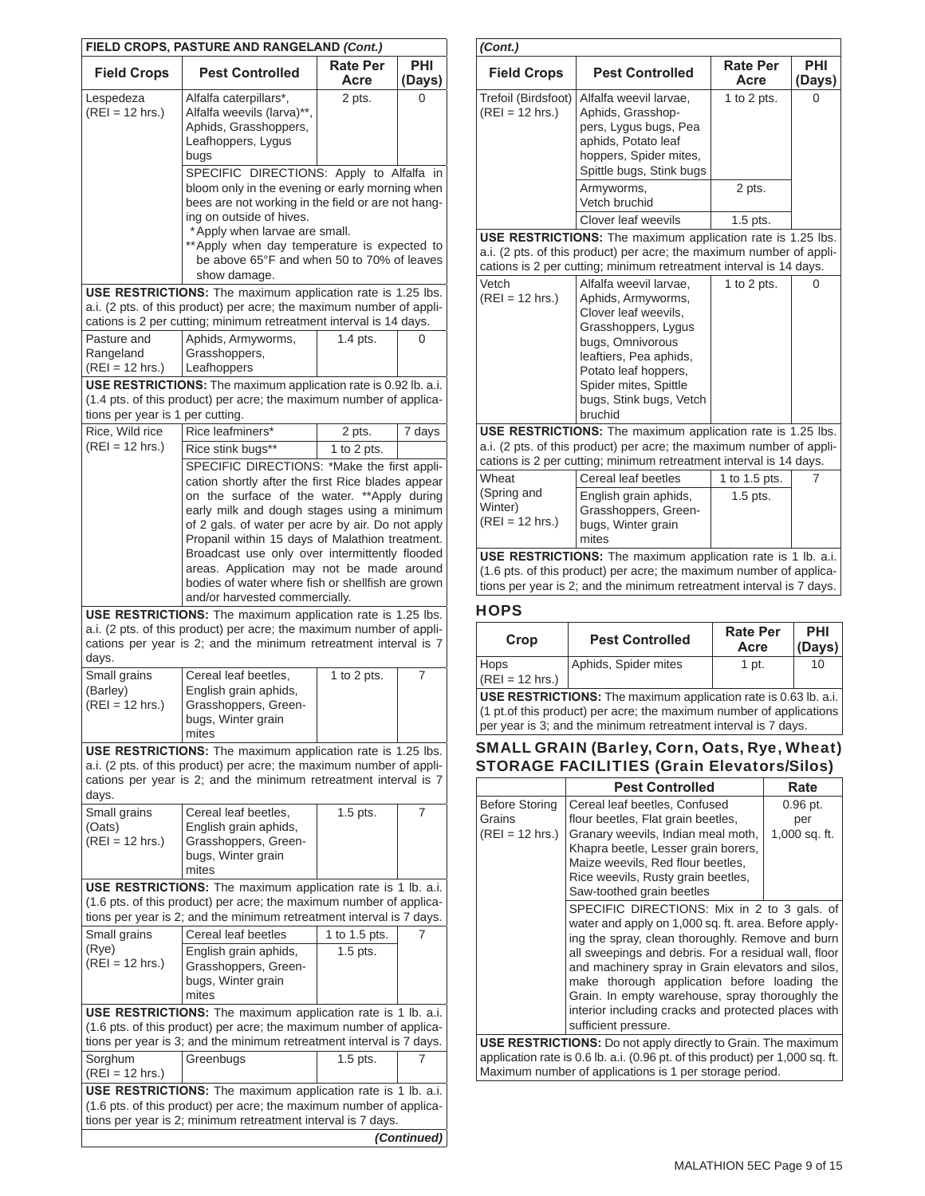| FIELD CROPS, PASTURE AND RANGELAND (Cont.)    |                                                                                                                                                                                                                                                                                                                                                                                                                                                                                              |                           |               |  |
|-----------------------------------------------|----------------------------------------------------------------------------------------------------------------------------------------------------------------------------------------------------------------------------------------------------------------------------------------------------------------------------------------------------------------------------------------------------------------------------------------------------------------------------------------------|---------------------------|---------------|--|
| <b>Field Crops</b>                            | <b>Pest Controlled</b>                                                                                                                                                                                                                                                                                                                                                                                                                                                                       | <b>Rate Per</b><br>Acre   | PHI<br>(Days) |  |
| Lespedeza<br>$(REI = 12 hrs.)$                | Alfalfa caterpillars*,<br>Alfalfa weevils (larva)**,<br>Aphids, Grasshoppers,<br>Leafhoppers, Lygus<br>bugs                                                                                                                                                                                                                                                                                                                                                                                  | 2 pts.                    | 0             |  |
|                                               | SPECIFIC DIRECTIONS: Apply to Alfalfa in<br>bloom only in the evening or early morning when<br>bees are not working in the field or are not hang-<br>ing on outside of hives.<br>*Apply when larvae are small.<br>** Apply when day temperature is expected to<br>be above 65°F and when 50 to 70% of leaves                                                                                                                                                                                 |                           |               |  |
|                                               | show damage.<br>USE RESTRICTIONS: The maximum application rate is 1.25 lbs.                                                                                                                                                                                                                                                                                                                                                                                                                  |                           |               |  |
|                                               | a.i. (2 pts. of this product) per acre; the maximum number of appli-<br>cations is 2 per cutting; minimum retreatment interval is 14 days.                                                                                                                                                                                                                                                                                                                                                   |                           |               |  |
| Pasture and<br>Rangeland<br>$(REI = 12 hrs.)$ | Aphids, Armyworms,<br>Grasshoppers,<br>Leafhoppers                                                                                                                                                                                                                                                                                                                                                                                                                                           | 1.4 pts.                  | 0             |  |
| tions per year is 1 per cutting.              | USE RESTRICTIONS: The maximum application rate is 0.92 lb. a.i.<br>(1.4 pts. of this product) per acre; the maximum number of applica-                                                                                                                                                                                                                                                                                                                                                       |                           |               |  |
| Rice, Wild rice<br>$(REI = 12 hrs.)$          | Rice leafminers*<br>Rice stink bugs**                                                                                                                                                                                                                                                                                                                                                                                                                                                        | 2 pts.<br>1 to 2 pts.     | 7 days        |  |
|                                               | SPECIFIC DIRECTIONS: *Make the first appli-<br>cation shortly after the first Rice blades appear<br>on the surface of the water. **Apply during<br>early milk and dough stages using a minimum<br>of 2 gals. of water per acre by air. Do not apply<br>Propanil within 15 days of Malathion treatment.<br>Broadcast use only over intermittently flooded<br>areas. Application may not be made around<br>bodies of water where fish or shellfish are grown<br>and/or harvested commercially. |                           |               |  |
| days.                                         | <b>USE RESTRICTIONS:</b> The maximum application rate is 1.25 lbs.<br>a.i. (2 pts. of this product) per acre; the maximum number of appli-<br>cations per year is 2; and the minimum retreatment interval is 7                                                                                                                                                                                                                                                                               |                           |               |  |
| Small grains<br>(Barley)<br>$(REI = 12 hrs.)$ | Cereal leaf beetles,<br>English grain aphids,<br>Grasshoppers, Green-<br>bugs, Winter grain<br>mites                                                                                                                                                                                                                                                                                                                                                                                         | 1 to 2 pts.               | 7             |  |
| days.                                         | <b>USE RESTRICTIONS:</b> The maximum application rate is 1.25 lbs.<br>a.i. (2 pts. of this product) per acre; the maximum number of appli-<br>cations per year is 2; and the minimum retreatment interval is 7                                                                                                                                                                                                                                                                               |                           |               |  |
| Small grains<br>(Oats)<br>$(REI = 12 hrs.)$   | Cereal leaf beetles,<br>English grain aphids,<br>Grasshoppers, Green-<br>bugs, Winter grain<br>mites                                                                                                                                                                                                                                                                                                                                                                                         | $1.5$ pts.                | 7             |  |
|                                               | USE RESTRICTIONS: The maximum application rate is 1 lb. a.i.<br>(1.6 pts. of this product) per acre; the maximum number of applica-<br>tions per year is 2; and the minimum retreatment interval is 7 days.                                                                                                                                                                                                                                                                                  |                           |               |  |
| Small grains<br>(Rye)<br>(REI = 12 hrs.)      | Cereal leaf beetles<br>English grain aphids,<br>Grasshoppers, Green-<br>bugs, Winter grain<br>mites                                                                                                                                                                                                                                                                                                                                                                                          | 1 to 1.5 pts.<br>1.5 pts. | 7             |  |
| Sorghum                                       | USE RESTRICTIONS: The maximum application rate is 1 lb. a.i.<br>(1.6 pts. of this product) per acre; the maximum number of applica-<br>tions per year is 3; and the minimum retreatment interval is 7 days.<br>Greenbugs                                                                                                                                                                                                                                                                     | $1.5$ pts.                | 7             |  |
| $(REI = 12 hrs.)$                             | <b>USE RESTRICTIONS:</b> The maximum application rate is 1 lb. a.i.<br>(1.6 pts. of this product) per acre; the maximum number of applica-<br>tions per year is 2; minimum retreatment interval is 7 days.                                                                                                                                                                                                                                                                                   |                           |               |  |
|                                               |                                                                                                                                                                                                                                                                                                                                                                                                                                                                                              |                           | (Continued)   |  |

| (Cont.)                                                                                                                                                                                                          |                                                                                                                                                                                                                                  |                         |               |  |
|------------------------------------------------------------------------------------------------------------------------------------------------------------------------------------------------------------------|----------------------------------------------------------------------------------------------------------------------------------------------------------------------------------------------------------------------------------|-------------------------|---------------|--|
| <b>Pest Controlled</b><br><b>Field Crops</b>                                                                                                                                                                     |                                                                                                                                                                                                                                  | <b>Rate Per</b><br>Acre | PHI<br>(Days) |  |
| Trefoil (Birdsfoot)<br>$(REI = 12 hrs.)$                                                                                                                                                                         | Alfalfa weevil larvae,<br>Aphids, Grasshop-<br>pers, Lygus bugs, Pea<br>aphids, Potato leaf<br>hoppers, Spider mites,<br>Spittle bugs, Stink bugs                                                                                | 1 to 2 pts.             | 0             |  |
|                                                                                                                                                                                                                  | Armyworms,<br>Vetch bruchid                                                                                                                                                                                                      | 2 pts.                  |               |  |
|                                                                                                                                                                                                                  | Clover leaf weevils                                                                                                                                                                                                              | $1.5$ pts.              |               |  |
| <b>USE RESTRICTIONS:</b> The maximum application rate is 1.25 lbs.<br>a.i. (2 pts. of this product) per acre; the maximum number of appli-<br>cations is 2 per cutting; minimum retreatment interval is 14 days. |                                                                                                                                                                                                                                  |                         |               |  |
| Vetch<br>$(REI = 12 hrs.)$                                                                                                                                                                                       | Alfalfa weevil larvae,<br>Aphids, Armyworms,<br>Clover leaf weevils.<br>Grasshoppers, Lygus<br>bugs, Omnivorous<br>leaftiers, Pea aphids,<br>Potato leaf hoppers,<br>Spider mites, Spittle<br>bugs, Stink bugs, Vetch<br>bruchid | 1 to 2 pts.             | 0             |  |
| <b>USE RESTRICTIONS:</b> The maximum application rate is 1.25 lbs.<br>a.i. (2 pts. of this product) per acre; the maximum number of appli-<br>cations is 2 per cutting; minimum retreatment interval is 14 days. |                                                                                                                                                                                                                                  |                         |               |  |
| Wheat                                                                                                                                                                                                            | Cereal leaf beetles                                                                                                                                                                                                              | 1 to 1.5 pts.           | 7             |  |
| (Spring and<br>Winter)<br>$(REI = 12 hrs.)$                                                                                                                                                                      | English grain aphids,<br>Grasshoppers, Green-<br>bugs, Winter grain<br>mites                                                                                                                                                     | $1.5$ pts.              |               |  |
|                                                                                                                                                                                                                  | USE RESTRICTIONS: The maximum application rate is 1 lb. a.i.                                                                                                                                                                     |                         |               |  |
|                                                                                                                                                                                                                  | (1.6 pts, of this product) per acre the maximum number of applica-                                                                                                                                                               |                         |               |  |

.6 pts. of this product) per acre; the maximum numb tions per year is 2; and the minimum retreatment interval is 7 days.

# **HOPS**

| Crop                                                            | <b>Pest Controlled</b> | <b>Rate Per</b><br>Acre | <b>PHI</b><br>(Days) |
|-----------------------------------------------------------------|------------------------|-------------------------|----------------------|
| Hops                                                            | Aphids, Spider mites   | 1 pt.                   | 10                   |
| $REI = 12$ hrs.)                                                |                        |                         |                      |
| USE RESTRICTIONS: The maximum application rate is 0.63 lb. a.i. |                        |                         |                      |

(1 pt.of this product) per acre; the maximum number of applications per year is 3; and the minimum retreatment interval is 7 days.

# SMALL GRAIN (Barley, Corn, Oats, Rye, Wheat) STORAGE FACILITIES (Grain Elevators/Silos)

|                                                                               | <b>Pest Controlled</b>                                                                                                                                                                                                                                                                                                                                                                                  | Rate          |  |  |  |
|-------------------------------------------------------------------------------|---------------------------------------------------------------------------------------------------------------------------------------------------------------------------------------------------------------------------------------------------------------------------------------------------------------------------------------------------------------------------------------------------------|---------------|--|--|--|
| Before Storing                                                                | Cereal leaf beetles, Confused                                                                                                                                                                                                                                                                                                                                                                           | $0.96$ pt.    |  |  |  |
| Grains                                                                        | flour beetles, Flat grain beetles,                                                                                                                                                                                                                                                                                                                                                                      | per           |  |  |  |
| $(REI = 12 hrs.)$                                                             | Granary weevils, Indian meal moth,                                                                                                                                                                                                                                                                                                                                                                      | 1,000 sq. ft. |  |  |  |
|                                                                               | Khapra beetle, Lesser grain borers,                                                                                                                                                                                                                                                                                                                                                                     |               |  |  |  |
|                                                                               | Maize weevils, Red flour beetles,                                                                                                                                                                                                                                                                                                                                                                       |               |  |  |  |
|                                                                               | Rice weevils, Rusty grain beetles,                                                                                                                                                                                                                                                                                                                                                                      |               |  |  |  |
|                                                                               | Saw-toothed grain beetles                                                                                                                                                                                                                                                                                                                                                                               |               |  |  |  |
|                                                                               | SPECIFIC DIRECTIONS: Mix in 2 to 3 gals. of                                                                                                                                                                                                                                                                                                                                                             |               |  |  |  |
|                                                                               | water and apply on 1,000 sq. ft. area. Before apply-<br>ing the spray, clean thoroughly. Remove and burn<br>all sweepings and debris. For a residual wall, floor<br>and machinery spray in Grain elevators and silos,<br>make thorough application before loading the<br>Grain. In empty warehouse, spray thoroughly the<br>interior including cracks and protected places with<br>sufficient pressure. |               |  |  |  |
|                                                                               | <b>USE RESTRICTIONS:</b> Do not apply directly to Grain. The maximum                                                                                                                                                                                                                                                                                                                                    |               |  |  |  |
| application rate is 0.6 lb. a.i. (0.96 pt. of this product) per 1,000 sq. ft. |                                                                                                                                                                                                                                                                                                                                                                                                         |               |  |  |  |
| Maximum number of applications is 1 per storage period.                       |                                                                                                                                                                                                                                                                                                                                                                                                         |               |  |  |  |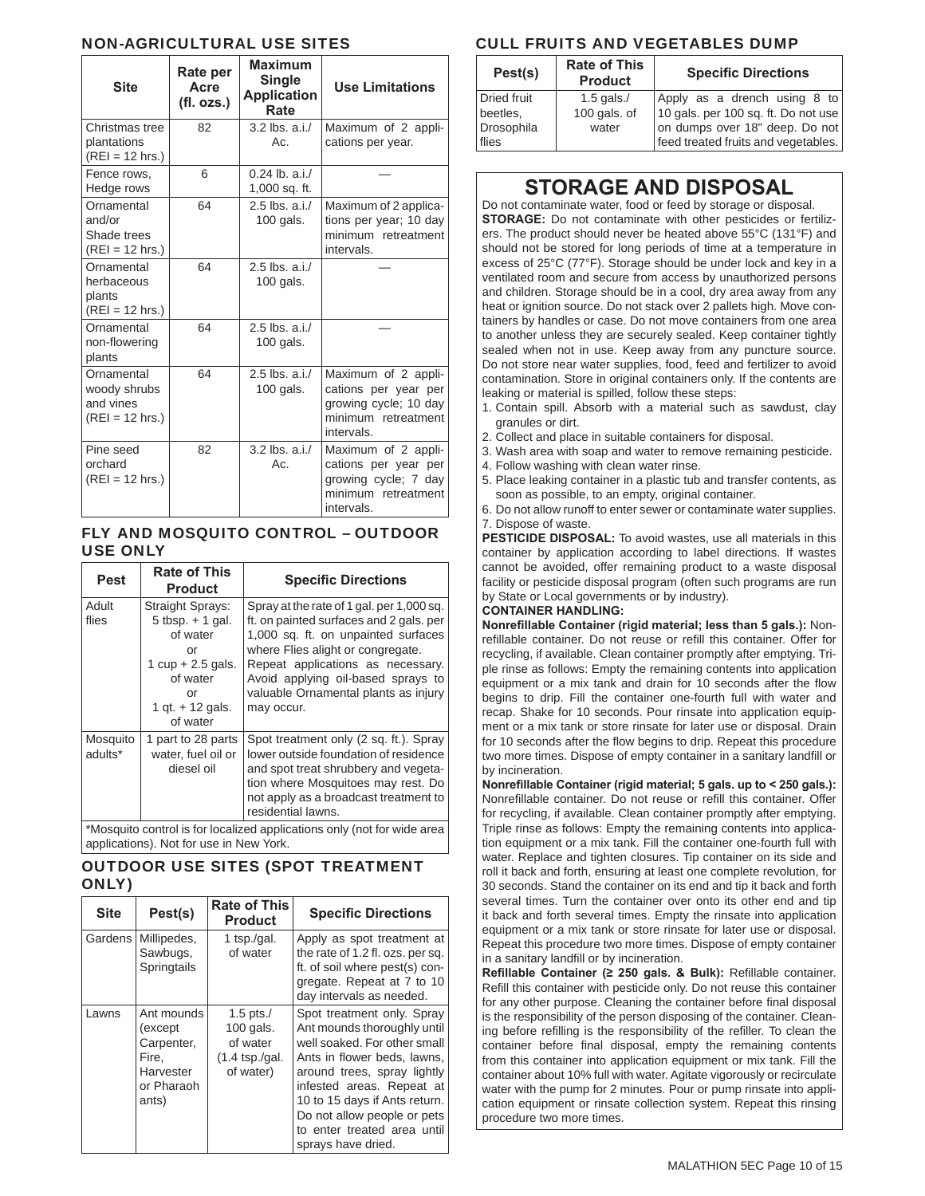# NON-AGRICULTURAL USE SITES

| <b>Site</b>                                                  | Rate per<br>Acre<br>(fl. ozs.) | Maximum<br>Single<br><b>Application</b><br>Rate | <b>Use Limitations</b>                                                                                    |
|--------------------------------------------------------------|--------------------------------|-------------------------------------------------|-----------------------------------------------------------------------------------------------------------|
| Christmas tree<br>plantations<br>$(REI = 12 hrs.)$           | 82                             | $3.2$ lbs. $a.i.'$<br>Ac.                       | Maximum of 2 appli-<br>cations per year.                                                                  |
| Fence rows,<br>Hedge rows                                    | 6                              | $0.24$ lb. a.i./<br>1,000 sq. ft.               |                                                                                                           |
| Ornamental<br>and/or<br>Shade trees<br>$(REI = 12 hrs.)$     | 64                             | $2.5$ lbs. $a.i.'$<br>$100$ gals.               | Maximum of 2 applica-<br>tions per year; 10 day<br>minimum retreatment<br>intervals.                      |
| Ornamental<br>herbaceous<br>plants<br>$(REI = 12 hrs.)$      | 64                             | $2.5$ lbs. $a.i.'$<br>$100$ gals.               |                                                                                                           |
| Ornamental<br>non-flowering<br>plants                        | 64                             | $2.5$ lbs. $a.i.'$<br>$100$ gals.               |                                                                                                           |
| Ornamental<br>woody shrubs<br>and vines<br>$(REI = 12 hrs.)$ | 64                             | $2.5$ lbs. $a.i.$<br>$100$ gals.                | Maximum of 2 appli-<br>cations per year per<br>growing cycle; 10 day<br>minimum retreatment<br>intervals. |
| Pine seed<br>orchard<br>$(REI = 12 hrs.)$                    | 82                             | $3.2$ lbs. $a.i.'$<br>Ac.                       | Maximum of 2 appli-<br>cations per year per<br>growing cycle; 7 day<br>minimum retreatment<br>intervals.  |

# FLY AND MOSQUITO CONTROL – OUTDOOR USE ONLY

| <b>Pest</b>         | <b>Rate of This</b><br><b>Product</b>                                                                                                        | <b>Specific Directions</b>                                                                                                                                                                                                                                                                        |
|---------------------|----------------------------------------------------------------------------------------------------------------------------------------------|---------------------------------------------------------------------------------------------------------------------------------------------------------------------------------------------------------------------------------------------------------------------------------------------------|
| Adult<br>flies      | <b>Straight Sprays:</b><br>$5$ tbsp. $+$ 1 gal.<br>of water<br>or<br>1 $cup + 2.5$ gals.<br>of water<br>or<br>1 gt. $+$ 12 gals.<br>of water | Spray at the rate of 1 gal. per 1,000 sq.<br>ft. on painted surfaces and 2 gals. per<br>1,000 sq. ft. on unpainted surfaces<br>where Flies alight or congregate.<br>Repeat applications as necessary.<br>Avoid applying oil-based sprays to<br>valuable Ornamental plants as injury<br>may occur. |
| Mosquito<br>adults* | 1 part to 28 parts<br>water, fuel oil or<br>diesel oil                                                                                       | Spot treatment only (2 sq. ft.). Spray<br>lower outside foundation of residence<br>and spot treat shrubbery and vegeta-<br>tion where Mosquitoes may rest. Do<br>not apply as a broadcast treatment to<br>residential lawns.                                                                      |

\*Mosquito control is for localized applications only (not for wide area applications). Not for use in New York.

# OUTDOOR USE SITES (SPOT TREATMENT ONLY)

| <b>Site</b> | Pest(s)                                                                           | <b>Rate of This</b><br><b>Product</b>                                            | <b>Specific Directions</b>                                                                                                                                                                                                                                                                                |
|-------------|-----------------------------------------------------------------------------------|----------------------------------------------------------------------------------|-----------------------------------------------------------------------------------------------------------------------------------------------------------------------------------------------------------------------------------------------------------------------------------------------------------|
| Gardens     | Millipedes,<br>Sawbugs,<br>Springtails                                            | 1 tsp./gal.<br>of water                                                          | Apply as spot treatment at<br>the rate of 1.2 fl. ozs. per sq.<br>ft. of soil where pest(s) con-<br>gregate. Repeat at 7 to 10<br>day intervals as needed.                                                                                                                                                |
| Lawns       | Ant mounds<br>(except)<br>Carpenter,<br>Fire.<br>Harvester<br>or Pharaoh<br>ants) | $1.5$ pts./<br>$100$ gals.<br>of water<br>$(1.4 \text{ tsp./gal.})$<br>of water) | Spot treatment only. Spray<br>Ant mounds thoroughly until<br>well soaked. For other small<br>Ants in flower beds, lawns,<br>around trees, spray lightly<br>infested areas. Repeat at<br>10 to 15 days if Ants return.<br>Do not allow people or pets<br>to enter treated area until<br>sprays have dried. |

# CULL FRUITS AND VEGETABLES DUMP

| Pest(s)                                        | <b>Rate of This</b><br><b>Product</b> | <b>Specific Directions</b>                                                                                                                   |
|------------------------------------------------|---------------------------------------|----------------------------------------------------------------------------------------------------------------------------------------------|
| Dried fruit<br>beetles.<br>Drosophila<br>flies | $1.5$ gals./<br>100 gals. of<br>water | Apply as a drench using 8 to<br>10 gals. per 100 sq. ft. Do not use<br>on dumps over 18" deep. Do not<br>feed treated fruits and vegetables. |

# **STORAGE AND DISPOSAL**

Do not contaminate water, food or feed by storage or disposal. **STORAGE:** Do not contaminate with other pesticides or fertilizers. The product should never be heated above 55°C (131°F) and should not be stored for long periods of time at a temperature in excess of 25°C (77°F). Storage should be under lock and key in a ventilated room and secure from access by unauthorized persons and children. Storage should be in a cool, dry area away from any heat or ignition source. Do not stack over 2 pallets high. Move containers by handles or case. Do not move containers from one area to another unless they are securely sealed. Keep container tightly sealed when not in use. Keep away from any puncture source. Do not store near water supplies, food, feed and fertilizer to avoid contamination. Store in original containers only. If the contents are leaking or material is spilled, follow these steps:

- 1. Contain spill. Absorb with a material such as sawdust, clay granules or dirt.
- 2. Collect and place in suitable containers for disposal.
- 3. Wash area with soap and water to remove remaining pesticide.
- 4. Follow washing with clean water rinse.
- 5. Place leaking container in a plastic tub and transfer contents, as soon as possible, to an empty, original container.
- 6. Do not allow runoff to enter sewer or contaminate water supplies. 7. Dispose of waste.

**PESTICIDE DISPOSAL:** To avoid wastes, use all materials in this container by application according to label directions. If wastes cannot be avoided, offer remaining product to a waste disposal facility or pesticide disposal program (often such programs are run by State or Local governments or by industry).

# **CONTAINER HANDLING:**

**Nonrefillable Container (rigid material; less than 5 gals.): Non**refillable container. Do not reuse or refill this container. Offer for recycling, if available. Clean container promptly after emptying. Triple rinse as follows: Empty the remaining contents into application equipment or a mix tank and drain for 10 seconds after the flow begins to drip. Fill the container one-fourth full with water and recap. Shake for 10 seconds. Pour rinsate into application equipment or a mix tank or store rinsate for later use or disposal. Drain for 10 seconds after the flow begins to drip. Repeat this procedure two more times. Dispose of empty container in a sanitary landfill or by incineration.

Nonrefillable Container (rigid material; 5 gals. up to < 250 gals.): Nonrefillable container. Do not reuse or refill this container. Offer for recycling, if available. Clean container promptly after emptying. Triple rinse as follows: Empty the remaining contents into application equipment or a mix tank. Fill the container one-fourth full with water. Replace and tighten closures. Tip container on its side and roll it back and forth, ensuring at least one complete revolution, for 30 seconds. Stand the container on its end and tip it back and forth several times. Turn the container over onto its other end and tip it back and forth several times. Empty the rinsate into application equipment or a mix tank or store rinsate for later use or disposal. Repeat this procedure two more times. Dispose of empty container in a sanitary landfill or by incineration.

**Refillable Container (≥ 250 gals. & Bulk): Refillable container.** Refill this container with pesticide only. Do not reuse this container for any other purpose. Cleaning the container before final disposal is the responsibility of the person disposing of the container. Cleaning before refilling is the responsibility of the refiller. To clean the container before final disposal, empty the remaining contents from this container into application equipment or mix tank. Fill the container about 10% full with water. Agitate vigorously or recirculate water with the pump for 2 minutes. Pour or pump rinsate into application equipment or rinsate collection system. Repeat this rinsing procedure two more times.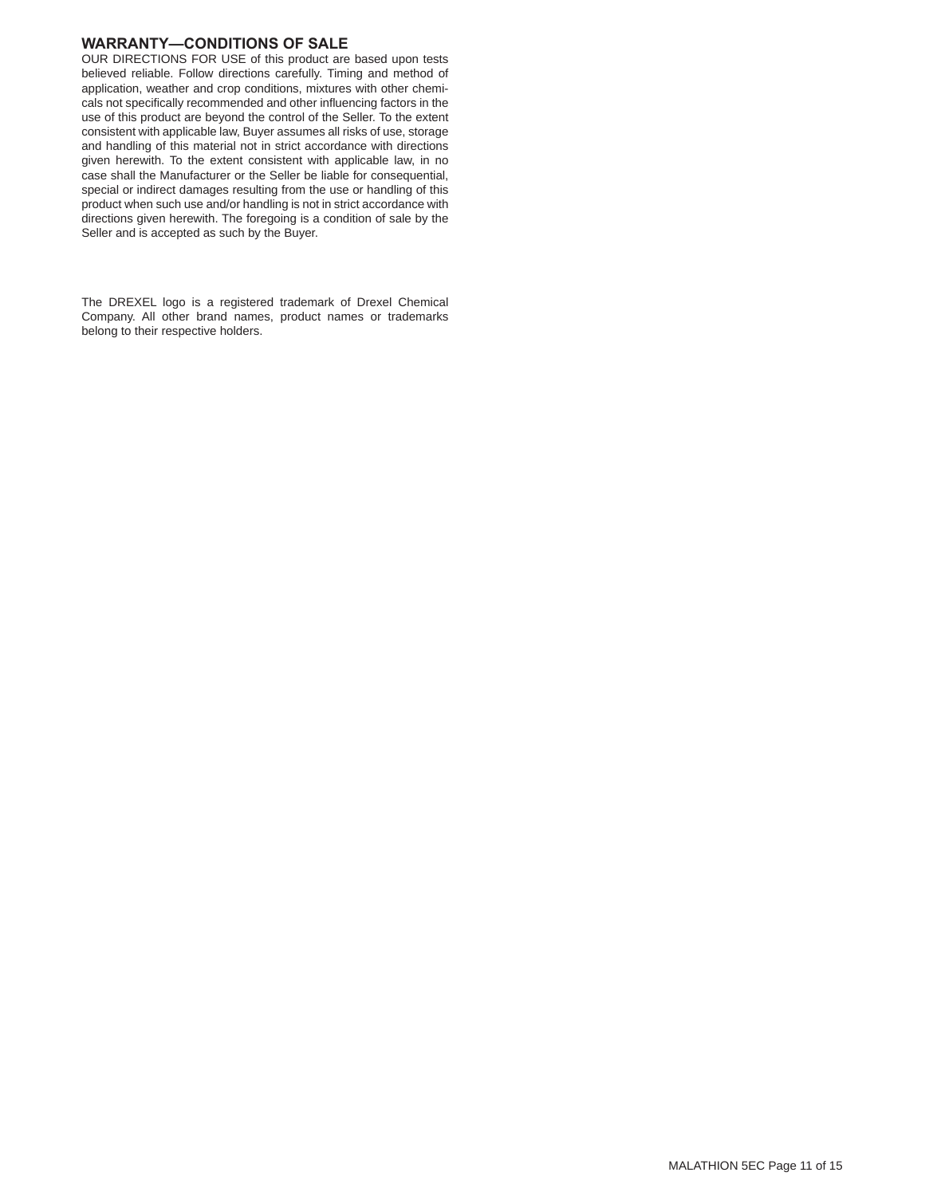# **WARRANTY—CONDITIONS OF SALE**

OUR DIRECTIONS FOR USE of this product are based upon tests believed reliable. Follow directions carefully. Timing and method of application, weather and crop conditions, mixtures with other chemicals not specifically recommended and other influencing factors in the use of this product are beyond the control of the Seller. To the extent consistent with applicable law, Buyer assumes all risks of use, storage and handling of this material not in strict accordance with directions given herewith. To the extent consistent with applicable law, in no case shall the Manufacturer or the Seller be liable for consequential, special or indirect damages resulting from the use or handling of this product when such use and/or handling is not in strict accordance with directions given herewith. The foregoing is a condition of sale by the Seller and is accepted as such by the Buyer.

The DREXEL logo is a registered trademark of Drexel Chemical Company. All other brand names, product names or trademarks belong to their respective holders.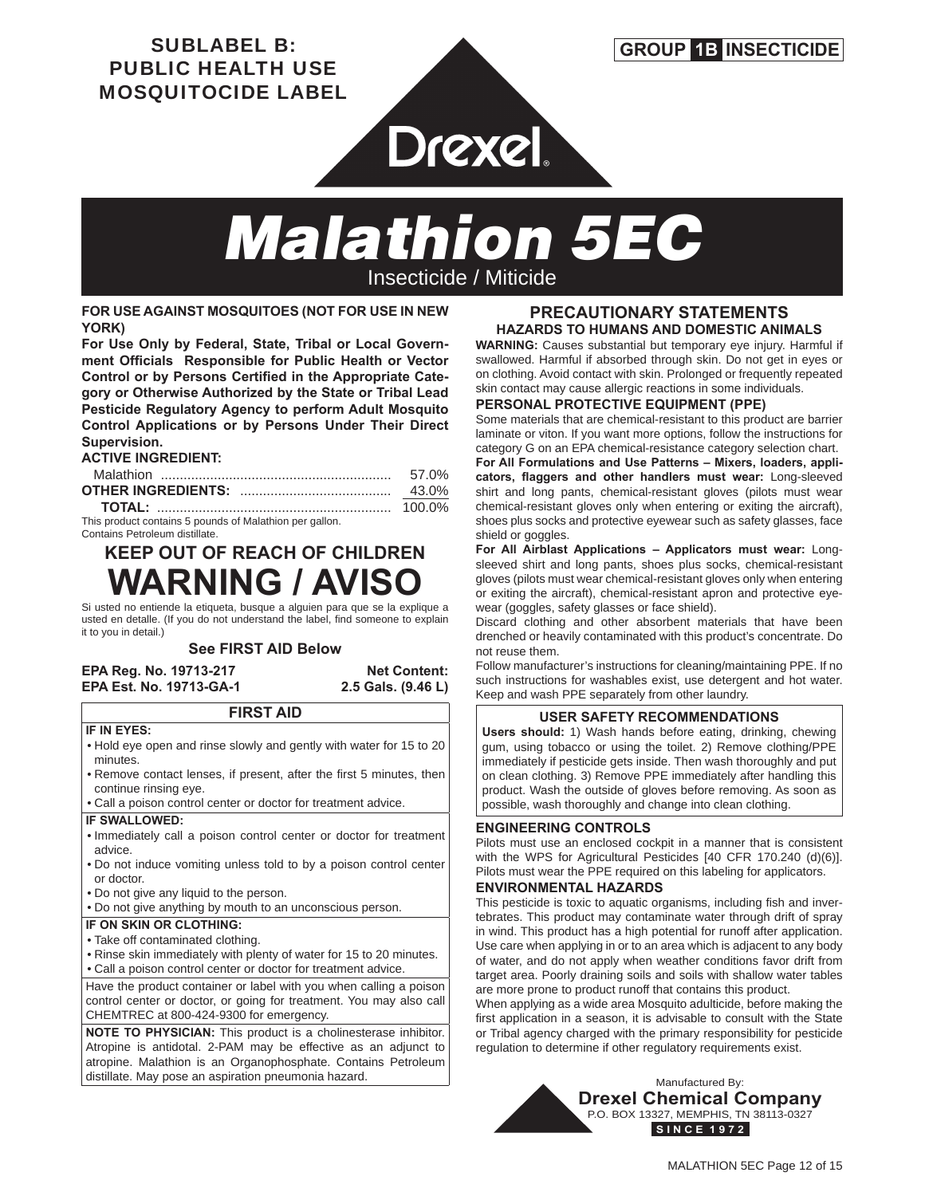# SUBLABEL B: PUBLIC HEALTH USE MOSQUITOCIDE LABEL

# *Malathion 5EC* Insecticide / Miticide

**FOR USE AGAINST MOSQUITOES (NOT FOR USE IN NEW YORK)**

**For Use Only by Federal, State, Tribal or Local Govern**ment Officials Responsible for Public Health or Vector Control or by Persons Certified in the Appropriate Cate**gory or Otherwise Authorized by the State or Tribal Lead Pesticide Regulatory Agency to perform Adult Mosquito Control Applications or by Persons Under Their Direct Supervision.**

**ACTIVE INGREDIENT:**

| This product contains 5 pounds of Malathion per gallon. |  |
|---------------------------------------------------------|--|

Contains Petroleum distillate.

# **KEEP OUT OF REACH OF CHILDREN WARNING / AVIS**

Si usted no entiende la etiqueta, busque a alguien para que se la explique a usted en detalle. (If you do not understand the label, find someone to explain it to you in detail.)

# **See FIRST AID Below** EPA Reg. No. 19713-217 Net Content:

**EPA Est. No. 19713-GA-1 2.5 Gals. (9.46 L)**

# **FIRST AID**

- **IF IN EYES:**
- Hold eye open and rinse slowly and gently with water for 15 to 20 minutes.
- Remove contact lenses, if present, after the first 5 minutes, then continue rinsing eye.
- Call a poison control center or doctor for treatment advice.

# **IF SWALLOWED:**

- Immediately call a poison control center or doctor for treatment advice.
- Do not induce vomiting unless told to by a poison control center or doctor.
- Do not give any liquid to the person.
- Do not give anything by mouth to an unconscious person.

# **IF ON SKIN OR CLOTHING:**

- Take off contaminated clothing.
- Rinse skin immediately with plenty of water for 15 to 20 minutes. • Call a poison control center or doctor for treatment advice.

Have the product container or label with you when calling a poison control center or doctor, or going for treatment. You may also call CHEMTREC at 800-424-9300 for emergency.

**NOTE TO PHYSICIAN:** This product is a cholinesterase inhibitor. Atropine is antidotal. 2-PAM may be effective as an adjunct to atropine. Malathion is an Organophosphate. Contains Petroleum distillate. May pose an aspiration pneumonia hazard.

# **PRECAUTIONARY STATEMENTS HAZARDS TO HUMANS AND DOMESTIC ANIMALS**

**WARNING:** Causes substantial but temporary eye injury. Harmful if swallowed. Harmful if absorbed through skin. Do not get in eyes or on clothing. Avoid contact with skin. Prolonged or frequently repeated skin contact may cause allergic reactions in some individuals.

# **PERSONAL PROTECTIVE EQUIPMENT (PPE)**

Some materials that are chemical-resistant to this product are barrier laminate or viton. If you want more options, follow the instructions for category G on an EPA chemical-resistance category selection chart. **For All Formulations and Use Patterns – Mixers, loaders, appli**cators, flaggers and other handlers must wear: Long-sleeved shirt and long pants, chemical-resistant gloves (pilots must wear chemical-resistant gloves only when entering or exiting the aircraft), shoes plus socks and protective eyewear such as safety glasses, face shield or goggles.

**For All Airblast Applications – Applicators must wear:** Longsleeved shirt and long pants, shoes plus socks, chemical-resistant gloves (pilots must wear chemical-resistant gloves only when entering or exiting the aircraft), chemical-resistant apron and protective eyewear (goggles, safety glasses or face shield).

Discard clothing and other absorbent materials that have been drenched or heavily contaminated with this product's concentrate. Do not reuse them.

Follow manufacturer's instructions for cleaning/maintaining PPE. If no such instructions for washables exist, use detergent and hot water. Keep and wash PPE separately from other laundry.

# **USER SAFETY RECOMMENDATIONS**

**Users should:** 1) Wash hands before eating, drinking, chewing gum, using tobacco or using the toilet. 2) Remove clothing/PPE immediately if pesticide gets inside. Then wash thoroughly and put on clean clothing. 3) Remove PPE immediately after handling this product. Wash the outside of gloves before removing. As soon as possible, wash thoroughly and change into clean clothing.

# **ENGINEERING CONTROLS**

Pilots must use an enclosed cockpit in a manner that is consistent with the WPS for Agricultural Pesticides [40 CFR 170.240 (d)(6)]. Pilots must wear the PPE required on this labeling for applicators.

# **ENVIRONMENTAL HAZARDS**

This pesticide is toxic to aquatic organisms, including fish and invertebrates. This product may contaminate water through drift of spray in wind. This product has a high potential for runoff after application. Use care when applying in or to an area which is adjacent to any body of water, and do not apply when weather conditions favor drift from target area. Poorly draining soils and soils with shallow water tables are more prone to product runoff that contains this product.

When applying as a wide area Mosquito adulticide, before making the first application in a season, it is advisable to consult with the State or Tribal agency charged with the primary responsibility for pesticide regulation to determine if other regulatory requirements exist.

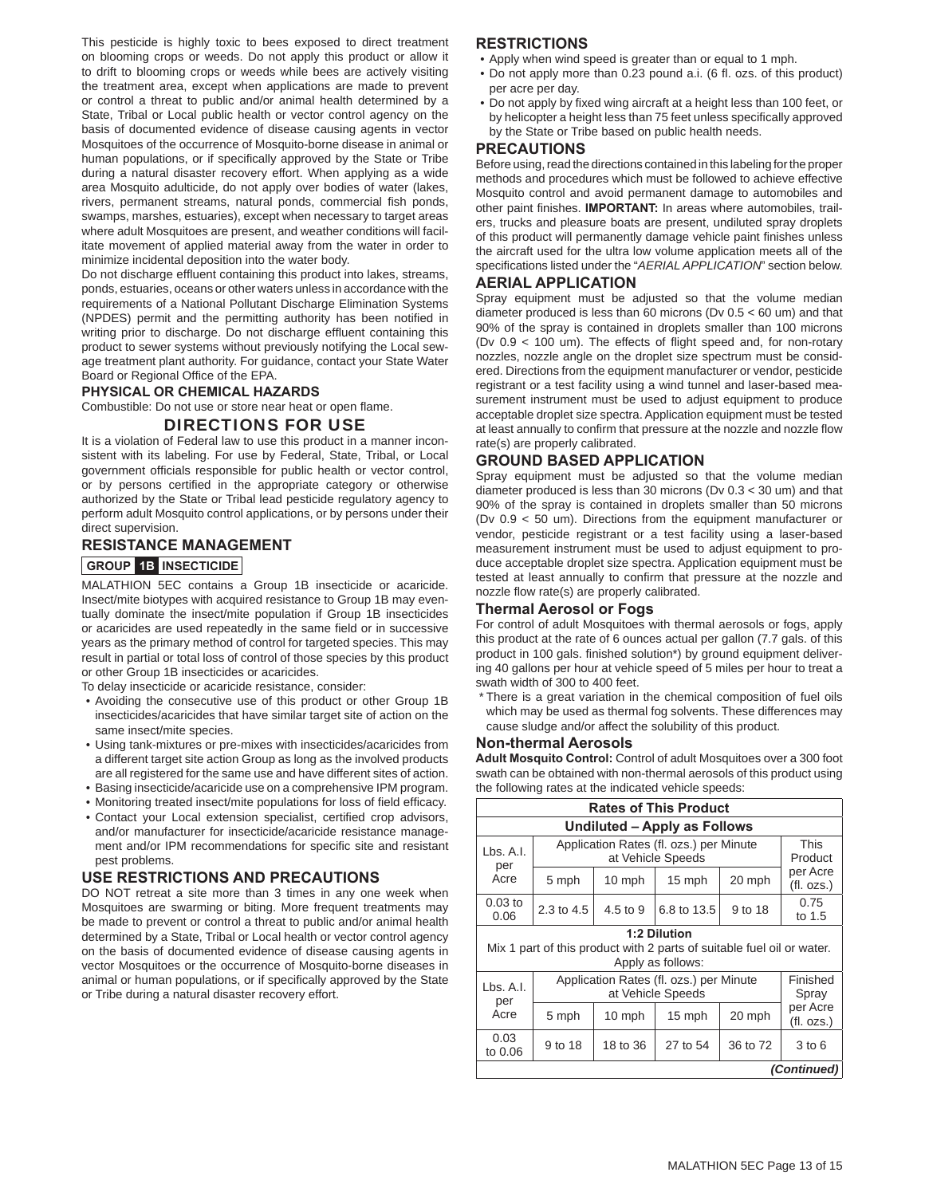This pesticide is highly toxic to bees exposed to direct treatment on blooming crops or weeds. Do not apply this product or allow it to drift to blooming crops or weeds while bees are actively visiting the treatment area, except when applications are made to prevent or control a threat to public and/or animal health determined by a State, Tribal or Local public health or vector control agency on the basis of documented evidence of disease causing agents in vector Mosquitoes of the occurrence of Mosquito-borne disease in animal or human populations, or if specifically approved by the State or Tribe during a natural disaster recovery effort. When applying as a wide area Mosquito adulticide, do not apply over bodies of water (lakes, rivers, permanent streams, natural ponds, commercial fish ponds, swamps, marshes, estuaries), except when necessary to target areas where adult Mosquitoes are present, and weather conditions will facilitate movement of applied material away from the water in order to minimize incidental deposition into the water body.

Do not discharge effluent containing this product into lakes, streams, ponds, estuaries, oceans or other waters unless in accordance with the requirements of a National Pollutant Discharge Elimination Systems (NPDES) permit and the permitting authority has been notified in writing prior to discharge. Do not discharge effluent containing this product to sewer systems without previously notifying the Local sewage treatment plant authority. For guidance, contact your State Water Board or Regional Office of the EPA.

# **PHYSICAL OR CHEMICAL HAZARDS**

Combustible: Do not use or store near heat or open flame.

# DIRECTIONS FOR USE

It is a violation of Federal law to use this product in a manner inconsistent with its labeling. For use by Federal, State, Tribal, or Local government officials responsible for public health or vector control, or by persons certified in the appropriate category or otherwise authorized by the State or Tribal lead pesticide regulatory agency to perform adult Mosquito control applications, or by persons under their direct supervision.

# **RESISTANCE MANAGEMENT**

# **GROUP 1B INSECTICIDE**

MALATHION 5EC contains a Group 1B insecticide or acaricide. Insect/mite biotypes with acquired resistance to Group 1B may eventually dominate the insect/mite population if Group 1B insecticides or acaricides are used repeatedly in the same field or in successive years as the primary method of control for targeted species. This may result in partial or total loss of control of those species by this product or other Group 1B insecticides or acaricides.

To delay insecticide or acaricide resistance, consider:

- Avoiding the consecutive use of this product or other Group 1B insecticides/acaricides that have similar target site of action on the same insect/mite species.
- Using tank-mixtures or pre-mixes with insecticides/acaricides from a different target site action Group as long as the involved products are all registered for the same use and have different sites of action.
- Basing insecticide/acaricide use on a comprehensive IPM program.
- Monitoring treated insect/mite populations for loss of field efficacy.
- Contact your Local extension specialist, certified crop advisors, and/or manufacturer for insecticide/acaricide resistance management and/or IPM recommendations for specific site and resistant pest problems.

# **USE RESTRICTIONS AND PRECAUTIONS**

DO NOT retreat a site more than 3 times in any one week when Mosquitoes are swarming or biting. More frequent treatments may be made to prevent or control a threat to public and/or animal health determined by a State, Tribal or Local health or vector control agency on the basis of documented evidence of disease causing agents in vector Mosquitoes or the occurrence of Mosquito-borne diseases in animal or human populations, or if specifically approved by the State or Tribe during a natural disaster recovery effort.

# **RESTRICTIONS**

- Apply when wind speed is greater than or equal to 1 mph.
- Do not apply more than 0.23 pound a.i. (6 fl. ozs. of this product) per acre per day.
- Do not apply by fixed wing aircraft at a height less than 100 feet, or by helicopter a height less than 75 feet unless specifically approved by the State or Tribe based on public health needs.

# **PRECAUTIONS**

Before using, read the directions contained in this labeling for the proper methods and procedures which must be followed to achieve effective Mosquito control and avoid permanent damage to automobiles and other paint finishes. **IMPORTANT:** In areas where automobiles, trailers, trucks and pleasure boats are present, undiluted spray droplets of this product will permanently damage vehicle paint finishes unless the aircraft used for the ultra low volume application meets all of the specifications listed under the "AERIAL APPLICATION" section below.

# **AERIAL APPLICATION**

Spray equipment must be adjusted so that the volume median diameter produced is less than 60 microns (Dv 0.5 < 60 um) and that 90% of the spray is contained in droplets smaller than 100 microns (Dv  $0.9 < 100$  um). The effects of flight speed and, for non-rotary nozzles, nozzle angle on the droplet size spectrum must be considered. Directions from the equipment manufacturer or vendor, pesticide registrant or a test facility using a wind tunnel and laser-based measurement instrument must be used to adjust equipment to produce acceptable droplet size spectra. Application equipment must be tested at least annually to confirm that pressure at the nozzle and nozzle flow rate(s) are properly calibrated.

# **GROUND BASED APPLICATION**

Spray equipment must be adjusted so that the volume median diameter produced is less than 30 microns (Dv 0.3 < 30 um) and that 90% of the spray is contained in droplets smaller than 50 microns (Dv 0.9 < 50 um). Directions from the equipment manufacturer or vendor, pesticide registrant or a test facility using a laser-based measurement instrument must be used to adjust equipment to produce acceptable droplet size spectra. Application equipment must be tested at least annually to confirm that pressure at the nozzle and nozzle flow rate(s) are properly calibrated.

# **Thermal Aerosol or Fogs**

For control of adult Mosquitoes with thermal aerosols or fogs, apply this product at the rate of 6 ounces actual per gallon (7.7 gals. of this product in 100 gals. finished solution\*) by ground equipment delivering 40 gallons per hour at vehicle speed of 5 miles per hour to treat a swath width of 300 to 400 feet.

 \* There is a great variation in the chemical composition of fuel oils which may be used as thermal fog solvents. These differences may cause sludge and/or affect the solubility of this product.

### **Non-thermal Aerosols**

**Adult Mosquito Control:** Control of adult Mosquitoes over a 300 foot swath can be obtained with non-thermal aerosols of this product using the following rates at the indicated vehicle speeds:

| <b>Rates of This Product</b> |                                                              |          |                                                                                                             |                        |                        |
|------------------------------|--------------------------------------------------------------|----------|-------------------------------------------------------------------------------------------------------------|------------------------|------------------------|
|                              |                                                              |          | Undiluted – Apply as Follows                                                                                |                        |                        |
| Lbs. A.I.<br>per             | Application Rates (fl. ozs.) per Minute<br>at Vehicle Speeds |          |                                                                                                             | <b>This</b><br>Product |                        |
| Acre                         | 5 mph                                                        | 10 mph   | 15 mph                                                                                                      | 20 mph                 | per Acre<br>(fl. ozs.) |
| $0.03$ to<br>0.06            | 2.3 to 4.5                                                   | 4.5 to 9 | 6.8 to 13.5                                                                                                 | 9 to 18                | 0.75<br>to 1.5         |
|                              |                                                              |          | 1:2 Dilution<br>Mix 1 part of this product with 2 parts of suitable fuel oil or water.<br>Apply as follows: |                        |                        |
| Lbs. A.I.<br>per             | Application Rates (fl. ozs.) per Minute<br>at Vehicle Speeds |          |                                                                                                             |                        | Finished<br>Spray      |
| Acre                         | 5 mph                                                        | 10 mph   | 15 mph                                                                                                      | 20 mph                 | per Acre<br>(fl. ozs.) |
| 0.03<br>to 0.06              | 9 to 18                                                      | 18 to 36 | 27 to 54                                                                                                    | 36 to 72               | $3$ to $6$             |
|                              |                                                              |          |                                                                                                             |                        | (Continued)            |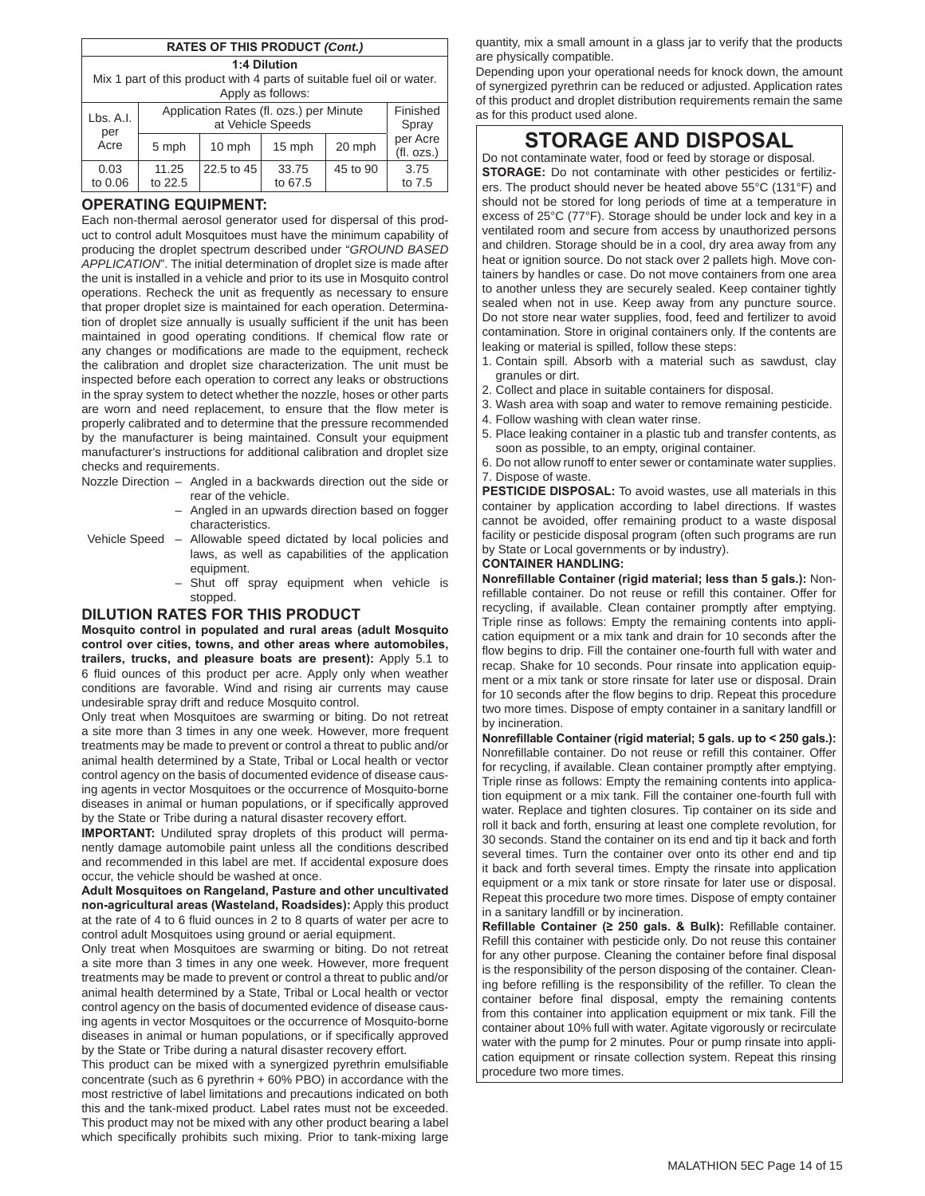| <b>RATES OF THIS PRODUCT (Cont.)</b> |                                                                        |          |  |
|--------------------------------------|------------------------------------------------------------------------|----------|--|
|                                      | 1:4 Dilution                                                           |          |  |
|                                      | Mix 1 part of this product with 4 parts of suitable fuel oil or water. |          |  |
| Apply as follows:                    |                                                                        |          |  |
|                                      | Application Daton (fl. aza) per Minute                                 | Einichod |  |

| Lbs. A.I.<br>per |                  |            | Application Rates (fl. ozs.) per Minute<br>at Vehicle Speeds |          | Finished<br>Spray      |
|------------------|------------------|------------|--------------------------------------------------------------|----------|------------------------|
| Acre             | 5 mph            | 10 mph     | 15 mph                                                       | 20 mph   | per Acre<br>(fl. ozs.) |
| 0.03<br>to 0.06  | 11.25<br>to 22.5 | 22.5 to 45 | 33.75<br>to 67.5                                             | 45 to 90 | 3.75<br>to $7.5$       |

# **OPERATING EQUIPMENT:**

Each non-thermal aerosol generator used for dispersal of this product to control adult Mosquitoes must have the minimum capability of producing the droplet spectrum described under "*GROUND BASED APPLICATION*". The initial determination of droplet size is made after the unit is installed in a vehicle and prior to its use in Mosquito control operations. Recheck the unit as frequently as necessary to ensure that proper droplet size is maintained for each operation. Determination of droplet size annually is usually sufficient if the unit has been maintained in good operating conditions. If chemical flow rate or any changes or modifications are made to the equipment, recheck the calibration and droplet size characterization. The unit must be inspected before each operation to correct any leaks or obstructions in the spray system to detect whether the nozzle, hoses or other parts are worn and need replacement, to ensure that the flow meter is properly calibrated and to determine that the pressure recommended by the manufacturer is being maintained. Consult your equipment manufacturer's instructions for additional calibration and droplet size checks and requirements.

- Nozzle Direction Angled in a backwards direction out the side or rear of the vehicle.
	- Angled in an upwards direction based on fogger characteristics.
- Vehicle Speed Allowable speed dictated by local policies and laws, as well as capabilities of the application equipment.
	- Shut off spray equipment when vehicle is stopped.

# **DILUTION RATES FOR THIS PRODUCT**

**Mosquito control in populated and rural areas (adult Mosquito control over cities, towns, and other areas where automobiles, trailers, trucks, and pleasure boats are present):** Apply 5.1 to 6 fluid ounces of this product per acre. Apply only when weather conditions are favorable. Wind and rising air currents may cause undesirable spray drift and reduce Mosquito control.

Only treat when Mosquitoes are swarming or biting. Do not retreat a site more than 3 times in any one week. However, more frequent treatments may be made to prevent or control a threat to public and/or animal health determined by a State, Tribal or Local health or vector control agency on the basis of documented evidence of disease causing agents in vector Mosquitoes or the occurrence of Mosquito-borne diseases in animal or human populations, or if specifically approved by the State or Tribe during a natural disaster recovery effort.

**IMPORTANT:** Undiluted spray droplets of this product will permanently damage automobile paint unless all the conditions described and recommended in this label are met. If accidental exposure does occur, the vehicle should be washed at once.

**Adult Mosquitoes on Rangeland, Pasture and other uncultivated non-agricultural areas (Wasteland, Roadsides):** Apply this product at the rate of 4 to 6 fluid ounces in 2 to 8 quarts of water per acre to control adult Mosquitoes using ground or aerial equipment.

Only treat when Mosquitoes are swarming or biting. Do not retreat a site more than 3 times in any one week. However, more frequent treatments may be made to prevent or control a threat to public and/or animal health determined by a State, Tribal or Local health or vector control agency on the basis of documented evidence of disease causing agents in vector Mosquitoes or the occurrence of Mosquito-borne diseases in animal or human populations, or if specifically approved by the State or Tribe during a natural disaster recovery effort.

This product can be mixed with a synergized pyrethrin emulsifiable concentrate (such as 6 pyrethrin + 60% PBO) in accordance with the most restrictive of label limitations and precautions indicated on both this and the tank-mixed product. Label rates must not be exceeded. This product may not be mixed with any other product bearing a label which specifically prohibits such mixing. Prior to tank-mixing large

quantity, mix a small amount in a glass jar to verify that the products are physically compatible.

Depending upon your operational needs for knock down, the amount of synergized pyrethrin can be reduced or adjusted. Application rates of this product and droplet distribution requirements remain the same as for this product used alone.

# **STORAGE AND DISPOSAL**

Do not contaminate water, food or feed by storage or disposal.

**STORAGE:** Do not contaminate with other pesticides or fertilizers. The product should never be heated above 55°C (131°F) and should not be stored for long periods of time at a temperature in excess of 25°C (77°F). Storage should be under lock and key in a ventilated room and secure from access by unauthorized persons and children. Storage should be in a cool, dry area away from any heat or ignition source. Do not stack over 2 pallets high. Move containers by handles or case. Do not move containers from one area to another unless they are securely sealed. Keep container tightly sealed when not in use. Keep away from any puncture source. Do not store near water supplies, food, feed and fertilizer to avoid contamination. Store in original containers only. If the contents are leaking or material is spilled, follow these steps:

- 1. Contain spill. Absorb with a material such as sawdust, clay granules or dirt.
- 2. Collect and place in suitable containers for disposal.
- 3. Wash area with soap and water to remove remaining pesticide.
- 4. Follow washing with clean water rinse.
- 5. Place leaking container in a plastic tub and transfer contents, as soon as possible, to an empty, original container.

6. Do not allow runoff to enter sewer or contaminate water supplies. 7. Dispose of waste.

**PESTICIDE DISPOSAL:** To avoid wastes, use all materials in this container by application according to label directions. If wastes cannot be avoided, offer remaining product to a waste disposal facility or pesticide disposal program (often such programs are run by State or Local governments or by industry).

# **CONTAINER HANDLING:**

**Nonrefillable Container (rigid material; less than 5 gals.): Non**refillable container. Do not reuse or refill this container. Offer for recycling, if available. Clean container promptly after emptying. Triple rinse as follows: Empty the remaining contents into application equipment or a mix tank and drain for 10 seconds after the flow begins to drip. Fill the container one-fourth full with water and recap. Shake for 10 seconds. Pour rinsate into application equipment or a mix tank or store rinsate for later use or disposal. Drain for 10 seconds after the flow begins to drip. Repeat this procedure two more times. Dispose of empty container in a sanitary landfill or by incineration.

Nonrefillable Container (rigid material; 5 gals. up to < 250 gals.): Nonrefillable container. Do not reuse or refill this container. Offer for recycling, if available. Clean container promptly after emptying. Triple rinse as follows: Empty the remaining contents into application equipment or a mix tank. Fill the container one-fourth full with water. Replace and tighten closures. Tip container on its side and roll it back and forth, ensuring at least one complete revolution, for 30 seconds. Stand the container on its end and tip it back and forth several times. Turn the container over onto its other end and tip it back and forth several times. Empty the rinsate into application equipment or a mix tank or store rinsate for later use or disposal. Repeat this procedure two more times. Dispose of empty container in a sanitary landfill or by incineration.

**Refillable Container (≥ 250 gals. & Bulk): Refillable container.** Refill this container with pesticide only. Do not reuse this container for any other purpose. Cleaning the container before final disposal is the responsibility of the person disposing of the container. Cleaning before refilling is the responsibility of the refiller. To clean the container before final disposal, empty the remaining contents from this container into application equipment or mix tank. Fill the container about 10% full with water. Agitate vigorously or recirculate water with the pump for 2 minutes. Pour or pump rinsate into application equipment or rinsate collection system. Repeat this rinsing procedure two more times.